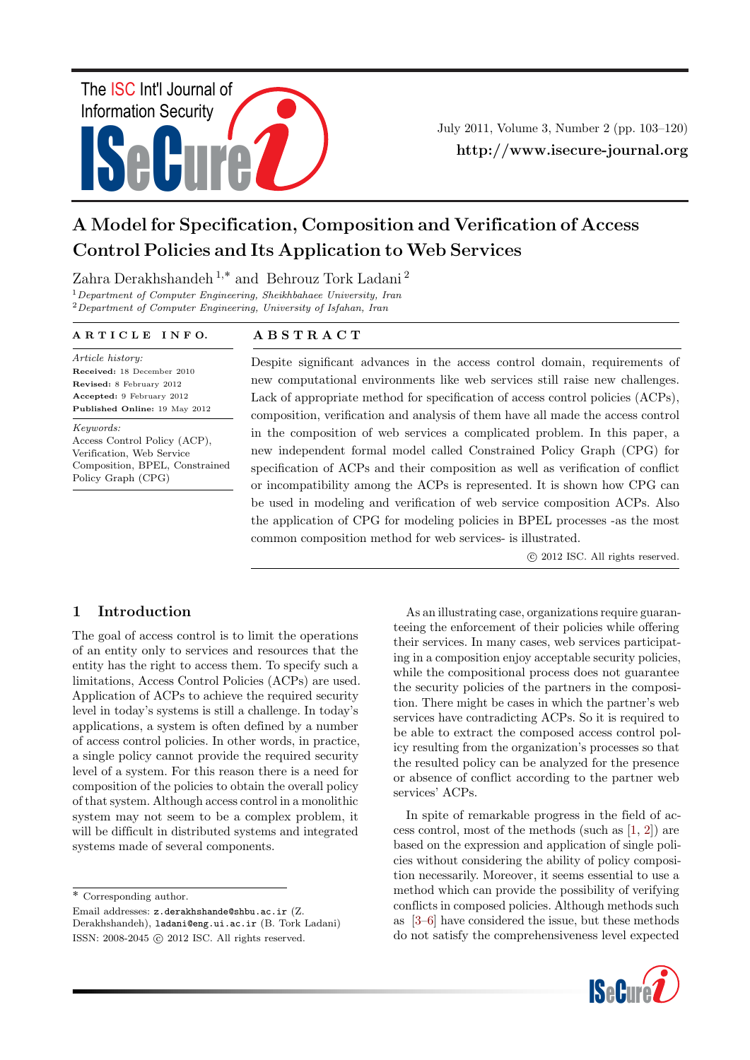# ISeCure The ISC Int'l Journal of Information Security

July 2011, Volume 3, Number 2 (pp. 103–120) http://www.isecure-journal.org

# A Model for Specification, Composition and Verification of Access Control Policies and Its Application to Web Services

Zahra Derakhshandeh<sup>1,\*</sup> and Behrouz Tork Ladani<sup>2</sup>

<sup>1</sup>Department of Computer Engineering, Sheikhbahaee University, Iran  $2$ Department of Computer Engineering, University of Isfahan, Iran

#### A R T I C L E I N F O.

# A B S T R A C T

Article history: Received: 18 December 2010 Revised: 8 February 2012 Accepted: 9 February 2012 Published Online: 19 May 2012

Keywords: Access Control Policy (ACP), Verification, Web Service Composition, BPEL, Constrained Policy Graph (CPG)

Despite significant advances in the access control domain, requirements of new computational environments like web services still raise new challenges. Lack of appropriate method for specification of access control policies (ACPs), composition, verification and analysis of them have all made the access control in the composition of web services a complicated problem. In this paper, a new independent formal model called Constrained Policy Graph (CPG) for specification of ACPs and their composition as well as verification of conflict or incompatibility among the ACPs is represented. It is shown how CPG can be used in modeling and verification of web service composition ACPs. Also the application of CPG for modeling policies in BPEL processes -as the most common composition method for web services- is illustrated.

c 2012 ISC. All rights reserved.

# 1 Introduction

The goal of access control is to limit the operations of an entity only to services and resources that the entity has the right to access them. To specify such a limitations, Access Control Policies (ACPs) are used. Application of ACPs to achieve the required security level in today's systems is still a challenge. In today's applications, a system is often defined by a number of access control policies. In other words, in practice, a single policy cannot provide the required security level of a system. For this reason there is a need for composition of the policies to obtain the overall policy of that system. Although access control in a monolithic system may not seem to be a complex problem, it will be difficult in distributed systems and integrated systems made of several components.

 $\overline{\ast}$  Corresponding author.

Email addresses: z.derakhshande@shbu.ac.ir (Z. Derakhshandeh), ladani@eng.ui.ac.ir (B. Tork Ladani) ISSN: 2008-2045 © 2012 ISC. All rights reserved.

As an illustrating case, organizations require guaranteeing the enforcement of their policies while offering their services. In many cases, web services participating in a composition enjoy acceptable security policies, while the compositional process does not guarantee the security policies of the partners in the composition. There might be cases in which the partner's web services have contradicting ACPs. So it is required to be able to extract the composed access control policy resulting from the organization's processes so that the resulted policy can be analyzed for the presence or absence of conflict according to the partner web services' ACPs.

In spite of remarkable progress in the field of access control, most of the methods (such as [\[1,](#page-16-0) [2\]](#page-16-1)) are based on the expression and application of single policies without considering the ability of policy composition necessarily. Moreover, it seems essential to use a method which can provide the possibility of verifying conflicts in composed policies. Although methods such as [\[3](#page-16-2)[–6\]](#page-16-3) have considered the issue, but these methods do not satisfy the comprehensiveness level expected

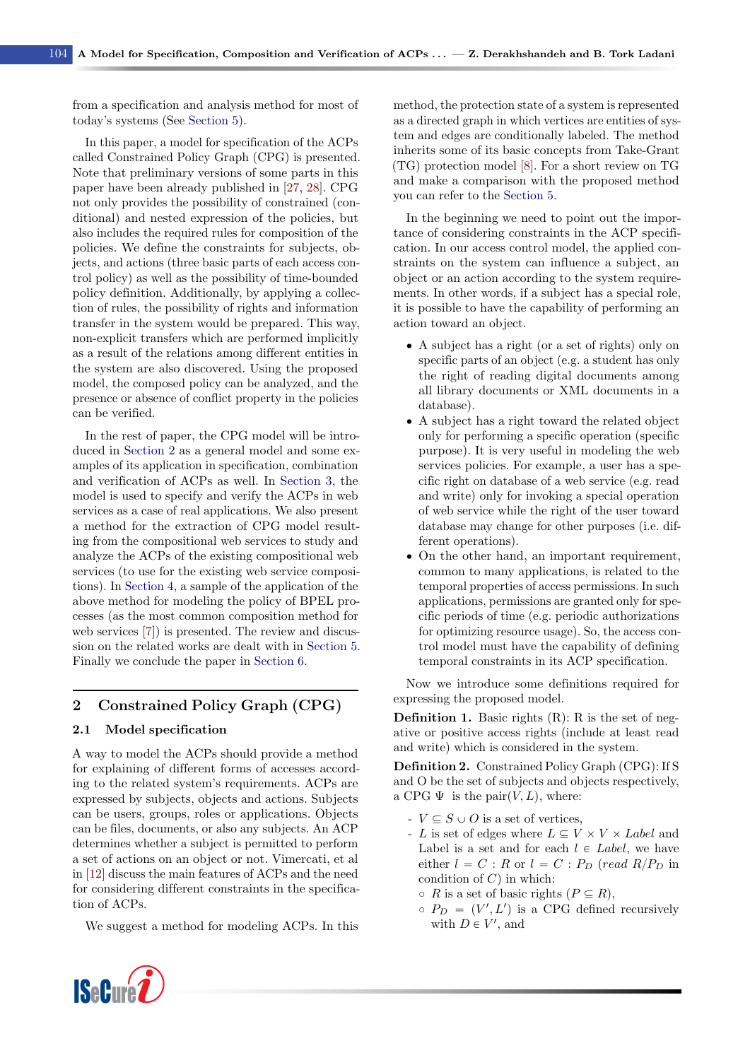from a specification and analysis method for most of today's systems (See [Section 5\)](#page-14-0).

In this paper, a model for specification of the ACPs called Constrained Policy Graph (CPG) is presented. Note that preliminary versions of some parts in this paper have been already published in [\[27,](#page-17-0) [28\]](#page-17-1). CPG not only provides the possibility of constrained (conditional) and nested expression of the policies, but also includes the required rules for composition of the policies. We define the constraints for subjects, objects, and actions (three basic parts of each access control policy) as well as the possibility of time-bounded policy definition. Additionally, by applying a collection of rules, the possibility of rights and information transfer in the system would be prepared. This way, non-explicit transfers which are performed implicitly as a result of the relations among different entities in the system are also discovered. Using the proposed model, the composed policy can be analyzed, and the presence or absence of conflict property in the policies can be verified.

In the rest of paper, the CPG model will be introduced in [Section 2](#page-1-0) as a general model and some examples of its application in specification, combination and verification of ACPs as well. In [Section 3,](#page-9-0) the model is used to specify and verify the ACPs in web services as a case of real applications. We also present a method for the extraction of CPG model resulting from the compositional web services to study and analyze the ACPs of the existing compositional web services (to use for the existing web service compositions). In [Section 4,](#page-10-0) a sample of the application of the above method for modeling the policy of BPEL processes (as the most common composition method for web services [\[7\]](#page-16-4)) is presented. The review and discussion on the related works are dealt with in [Section 5.](#page-14-0) Finally we conclude the paper in [Section 6.](#page-16-5)

## <span id="page-1-0"></span>2 Constrained Policy Graph (CPG)

#### 2.1 Model specification

A way to model the ACPs should provide a method for explaining of different forms of accesses according to the related system's requirements. ACPs are expressed by subjects, objects and actions. Subjects can be users, groups, roles or applications. Objects can be files, documents, or also any subjects. An ACP determines whether a subject is permitted to perform a set of actions on an object or not. Vimercati, et al in [\[12\]](#page-16-6) discuss the main features of ACPs and the need for considering different constraints in the specification of ACPs.

We suggest a method for modeling ACPs. In this



method, the protection state of a system is represented as a directed graph in which vertices are entities of system and edges are conditionally labeled. The method inherits some of its basic concepts from Take-Grant (TG) protection model [\[8\]](#page-16-7). For a short review on TG and make a comparison with the proposed method you can refer to the [Section 5.](#page-14-0)

In the beginning we need to point out the importance of considering constraints in the ACP specification. In our access control model, the applied constraints on the system can influence a subject, an object or an action according to the system requirements. In other words, if a subject has a special role, it is possible to have the capability of performing an action toward an object.

- ' A subject has a right (or a set of rights) only on specific parts of an object (e.g. a student has only the right of reading digital documents among all library documents or XML documents in a database).
- ' A subject has a right toward the related object only for performing a specific operation (specific purpose). It is very useful in modeling the web services policies. For example, a user has a specific right on database of a web service (e.g. read and write) only for invoking a special operation of web service while the right of the user toward database may change for other purposes (i.e. different operations).
- ' On the other hand, an important requirement, common to many applications, is related to the temporal properties of access permissions. In such applications, permissions are granted only for specific periods of time (e.g. periodic authorizations for optimizing resource usage). So, the access control model must have the capability of defining temporal constraints in its ACP specification.

Now we introduce some definitions required for expressing the proposed model.

**Definition 1.** Basic rights  $(R)$ : R is the set of negative or positive access rights (include at least read and write) which is considered in the system.

<span id="page-1-1"></span>Definition 2. Constrained Policy Graph (CPG): If S and O be the set of subjects and objects respectively, a CPG  $\Psi$  is the pair $(V, L)$ , where:

- $V \subseteq S \cup O$  is a set of vertices,
- L is set of edges where  $L \subseteq V \times V \times Label$  and Label is a set and for each  $l \in Label$ , we have either  $l = C : R$  or  $l = C : P_D$  (read  $R/P_D$  in condition of  $C$ ) in which:
	- $\circ$  R is a set of basic rights  $(P \subseteq R)$ ,
	- $P_D = (V', L')$  is a CPG defined recursively with  $D \in V'$ , and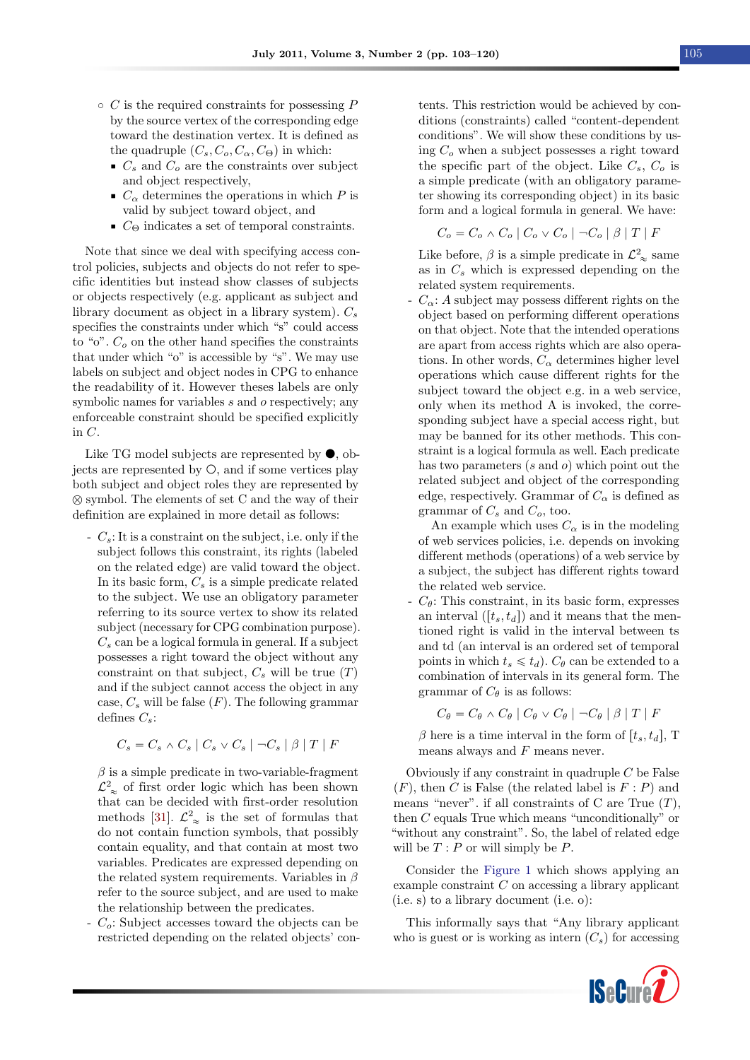- $\circ$  C is the required constraints for possessing P by the source vertex of the corresponding edge toward the destination vertex. It is defined as the quadruple  $(C_s, C_o, C_\alpha, C_\Theta)$  in which:
	- $\bullet$  C<sub>s</sub> and C<sub>o</sub> are the constraints over subject and object respectively,
	- $\bullet$   $C_{\alpha}$  determines the operations in which P is valid by subject toward object, and
	- $\bullet$  C<sub>Θ</sub> indicates a set of temporal constraints.

Note that since we deal with specifying access control policies, subjects and objects do not refer to specific identities but instead show classes of subjects or objects respectively (e.g. applicant as subject and library document as object in a library system).  $C_s$ specifies the constraints under which "s" could access to "o".  $C<sub>o</sub>$  on the other hand specifies the constraints that under which "o" is accessible by "s". We may use labels on subject and object nodes in CPG to enhance the readability of it. However theses labels are only symbolic names for variables s and o respectively; any enforceable constraint should be specified explicitly in C.

Like TG model subjects are represented by  $\bullet$ , objects are represented by  $\circ$ , and if some vertices play both subject and object roles they are represented by  $\otimes$  symbol. The elements of set C and the way of their definition are explained in more detail as follows:

 $-C_s$ : It is a constraint on the subject, i.e. only if the subject follows this constraint, its rights (labeled on the related edge) are valid toward the object. In its basic form,  $C_s$  is a simple predicate related to the subject. We use an obligatory parameter referring to its source vertex to show its related subject (necessary for CPG combination purpose).  $C_s$  can be a logical formula in general. If a subject possesses a right toward the object without any constraint on that subject,  $C_s$  will be true  $(T)$ and if the subject cannot access the object in any case,  $C_s$  will be false  $(F)$ . The following grammar defines  $C_s$ :

$$
C_s = C_s \wedge C_s \mid C_s \vee C_s \mid \neg C_s \mid \beta \mid T \mid F
$$

 $\beta$  is a simple predicate in two-variable-fragment  $\mathcal{L}_{\infty}^2$  of first order logic which has been shown that can be decided with first-order resolution methods [\[31\]](#page-17-2).  $\mathcal{L}_{\infty}^2$  is the set of formulas that do not contain function symbols, that possibly contain equality, and that contain at most two variables. Predicates are expressed depending on the related system requirements. Variables in  $\beta$ refer to the source subject, and are used to make the relationship between the predicates.

 $-C<sub>o</sub>$ : Subject accesses toward the objects can be restricted depending on the related objects' contents. This restriction would be achieved by conditions (constraints) called "content-dependent conditions". We will show these conditions by using  $C<sub>o</sub>$  when a subject possesses a right toward the specific part of the object. Like  $C_s$ ,  $C_o$  is a simple predicate (with an obligatory parameter showing its corresponding object) in its basic form and a logical formula in general. We have:

$$
C_o = C_o \wedge C_o \mid C_o \vee C_o \mid \neg C_o \mid \beta \mid T \mid F
$$

Like before,  $\beta$  is a simple predicate in  $\mathcal{L}^2_{\infty}$  same as in  $C_s$  which is expressed depending on the related system requirements.

 $C_{\alpha}$ : A subject may possess different rights on the object based on performing different operations on that object. Note that the intended operations are apart from access rights which are also operations. In other words,  $C_{\alpha}$  determines higher level operations which cause different rights for the subject toward the object e.g. in a web service, only when its method A is invoked, the corresponding subject have a special access right, but may be banned for its other methods. This constraint is a logical formula as well. Each predicate has two parameters  $(s \text{ and } o)$  which point out the related subject and object of the corresponding edge, respectively. Grammar of  $C_{\alpha}$  is defined as grammar of  $C_s$  and  $C_o$ , too.

An example which uses  $C_{\alpha}$  is in the modeling of web services policies, i.e. depends on invoking different methods (operations) of a web service by a subject, the subject has different rights toward the related web service.

 $-C_{\theta}$ : This constraint, in its basic form, expresses an interval  $([t_s, t_d])$  and it means that the mentioned right is valid in the interval between ts and td (an interval is an ordered set of temporal points in which  $t_s \leq t_d$ ).  $C_\theta$  can be extended to a combination of intervals in its general form. The grammar of  $C_{\theta}$  is as follows:

$$
C_{\theta} = C_{\theta} \wedge C_{\theta} | C_{\theta} \vee C_{\theta} | \neg C_{\theta} | \beta | T | F
$$

β here is a time interval in the form of  $[t<sub>s</sub>, t<sub>d</sub>]$ , T means always and  $F$  means never.

Obviously if any constraint in quadruple  $C$  be False  $(F)$ , then C is False (the related label is  $F : P$ ) and means "never". if all constraints of C are True  $(T)$ , then C equals True which means "unconditionally" or "without any constraint". So, the label of related edge will be  $T : P$  or will simply be  $P$ .

Consider the [Figure 1](#page-3-0) which shows applying an example constraint C on accessing a library applicant (i.e. s) to a library document (i.e. o):

This informally says that "Any library applicant who is guest or is working as intern  $(C_s)$  for accessing

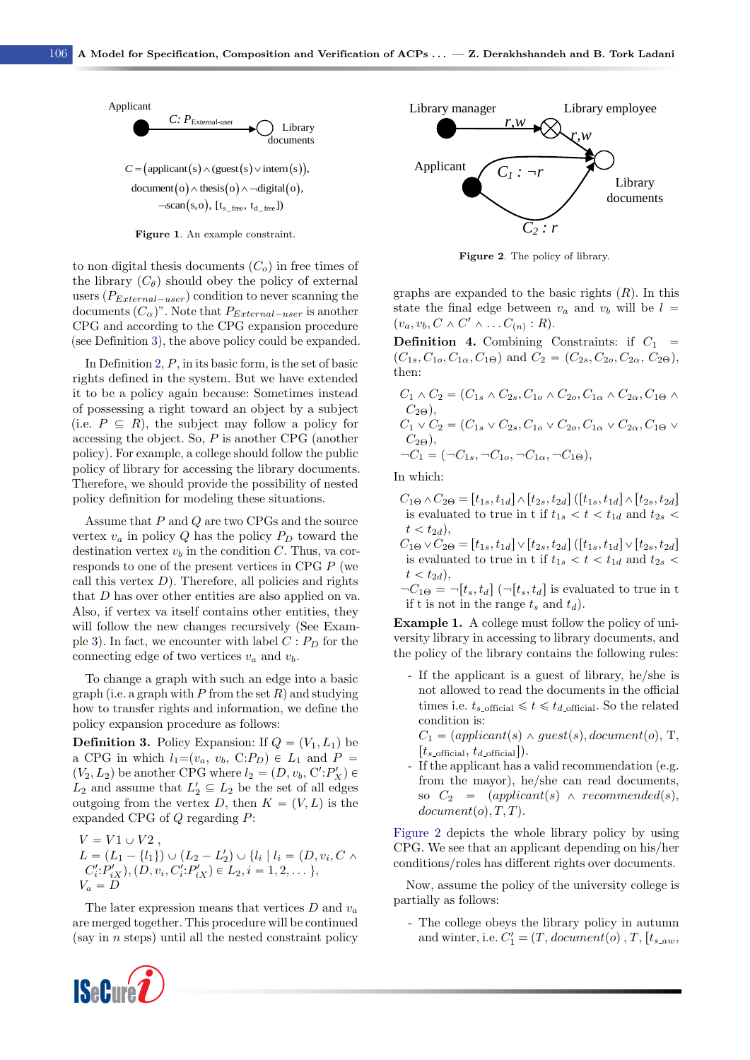<span id="page-3-0"></span>

Figure 1. An example constraint.

to non digital thesis documents  $(C_o)$  in free times of the library  $(C_{\theta})$  should obey the policy of external users  $(P_{External-user})$  condition to never scanning the documents  $(C_{\alpha})^n$ . Note that  $P_{External-user}$  is another CPG and according to the CPG expansion procedure (see Definition [3\)](#page-3-1), the above policy could be expanded.

In Definition [2,](#page-1-1) P, in its basic form, is the set of basic rights defined in the system. But we have extended it to be a policy again because: Sometimes instead of possessing a right toward an object by a subject (i.e.  $P \subseteq R$ ), the subject may follow a policy for accessing the object. So,  $P$  is another CPG (another policy). For example, a college should follow the public policy of library for accessing the library documents. Therefore, we should provide the possibility of nested policy definition for modeling these situations.

Assume that P and Q are two CPGs and the source vertex  $v_a$  in policy  $Q$  has the policy  $P_D$  toward the destination vertex  $v<sub>b</sub>$  in the condition C. Thus, va corresponds to one of the present vertices in CPG P (we call this vertex  $D$ ). Therefore, all policies and rights that D has over other entities are also applied on va. Also, if vertex va itself contains other entities, they will follow the new changes recursively (See Exam-ple [3\)](#page-6-0). In fact, we encounter with label  $C : P_D$  for the connecting edge of two vertices  $v_a$  and  $v_b$ .

To change a graph with such an edge into a basic graph (i.e. a graph with P from the set  $R$ ) and studying how to transfer rights and information, we define the policy expansion procedure as follows:

<span id="page-3-1"></span>**Definition 3.** Policy Expansion: If  $Q = (V_1, L_1)$  be a CPG in which  $l_1=(v_a, v_b, C:P_D) \in L_1$  and  $P =$  $(V_2, L_2)$  be another CPG where  $l_2 = (D, v_b, C' : P'_X) \in$  $L_2$  and assume that  $L'_2 \subseteq L_2$  be the set of all edges outgoing from the vertex D, then  $K = (V, L)$  is the expanded CPG of  $Q$  regarding  $P$ :

$$
V = V1 \cup V2,
$$
  
\n
$$
L = (L_1 - \{l_1\}) \cup (L_2 - L'_2) \cup \{l_i \mid l_i = (D, v_i, C \land C'_i \cdot P'_{iX}), (D, v_i, C'_i \cdot P'_{iX}) \in L_2, i = 1, 2, \dots \},
$$
  
\n
$$
V_a = D
$$

The later expression means that vertices  $D$  and  $v_a$ are merged together. This procedure will be continued (say in  $n$  steps) until all the nested constraint policy

<span id="page-3-2"></span>

Figure 2. The policy of library.

graphs are expanded to the basic rights  $(R)$ . In this state the final edge between  $v_a$  and  $v_b$  will be  $l =$  $(v_a, v_b, C \wedge C' \wedge \ldots C_{(n)} : R).$ 

**Definition 4.** Combining Constraints: if  $C_1$  =  $(C_{1s}, C_{1o}, C_{1\alpha}, C_{1\Theta})$  and  $C_2 = (C_{2s}, C_{2o}, C_{2\alpha}, C_{2\Theta}),$ then:

$$
C_1 \wedge C_2 = (C_{1s} \wedge C_{2s}, C_{1o} \wedge C_{2o}, C_{1\alpha} \wedge C_{2\alpha}, C_{1\Theta} \wedge C_{2\Theta}),
$$
  
\n
$$
C_1 \vee C_2 = (C_{1s} \vee C_{2s}, C_{1o} \vee C_{2o}, C_{1\alpha} \vee C_{2\alpha}, C_{1\Theta} \vee C_{2\Theta}),
$$
  
\n
$$
\neg C_1 = (\neg C_{1s}, \neg C_{1o}, \neg C_{1\alpha}, \neg C_{1\Theta}),
$$

In which:

- $C_{1\Theta} \wedge C_{2\Theta} = [t_{1s}, t_{1d}] \wedge [t_{2s}, t_{2d}]$  ([ $t_{1s}, t_{1d}] \wedge [t_{2s}, t_{2d}]$ is evaluated to true in t if  $t_{1s} < t < t_{1d}$  and  $t_{2s} <$  $t < t_{2d}$ ,
- $C_{1\Theta} \vee C_{2\Theta} = [t_{1s}, t_{1d}] \vee [t_{2s}, t_{2d}]$  ([ $t_{1s}, t_{1d}] \vee [t_{2s}, t_{2d}]$ is evaluated to true in t if  $t_{1s} < t < t_{1d}$  and  $t_{2s} <$  $t < t_{2d}$ ,
- $\neg C_{1\Theta} = \neg [t_s, t_d]$  ( $\neg [t_s, t_d]$  is evaluated to true in t if t is not in the range  $t_s$  and  $t_d$ .

<span id="page-3-3"></span>Example 1. A college must follow the policy of university library in accessing to library documents, and the policy of the library contains the following rules:

- If the applicant is a guest of library, he/she is not allowed to read the documents in the official times i.e.  $t_{s\text{-official}} \leq t \leq t_{d\text{-official}}$ . So the related condition is:

 $C_1 = (application(s) \land guest(s), document(o), T,$  $[t_{s \text{-official}}, t_{d \text{-official}}]$ .

- If the applicant has a valid recommendation (e.g. from the mayor), he/she can read documents, so  $C_2 = (application(s) \land recommended(s),$  $document(o), T, T)$ .

[Figure 2](#page-3-2) depicts the whole library policy by using CPG. We see that an applicant depending on his/her conditions/roles has different rights over documents.

Now, assume the policy of the university college is partially as follows:

- The college obeys the library policy in autumn and winter, i.e.  $C'_1 = (T, document(o), T, [t_{s_aw},$ 

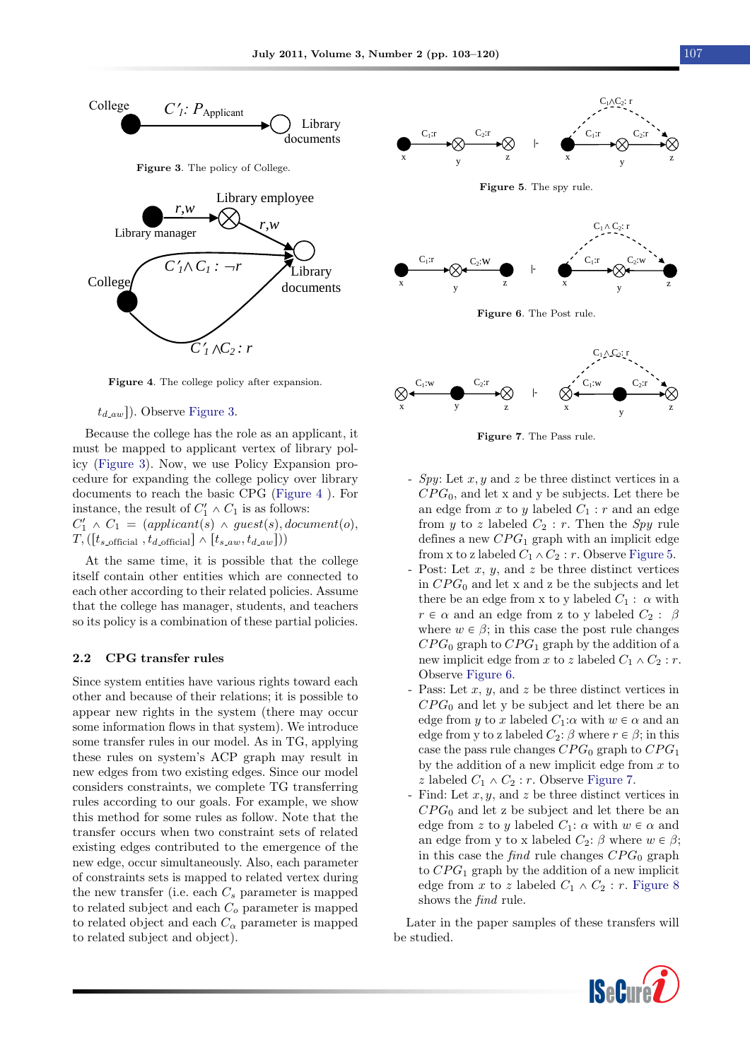<span id="page-4-1"></span><span id="page-4-0"></span>

Figure 4. The college policy after expansion.

#### $t_{d,aw}$ ]). Observe [Figure 3.](#page-4-0)

Because the college has the role as an applicant, it must be mapped to applicant vertex of library policy [\(Figure 3\)](#page-4-0). Now, we use Policy Expansion procedure for expanding the college policy over library documents to reach the basic CPG [\(Figure 4](#page-4-1) ). For instance, the result of  $C'_1 \wedge C_1$  is as follows:  $C'_1 \wedge C_1 = (application(s) \wedge guest(s), document(o),$  $T,([t_{s\text{-official}}, t_{d\text{-official}}] \wedge [t_{s\text{-}aw}, t_{d\text{-}aw}]))$ 

At the same time, it is possible that the college itself contain other entities which are connected to each other according to their related policies. Assume that the college has manager, students, and teachers so its policy is a combination of these partial policies.

#### <span id="page-4-5"></span>2.2 CPG transfer rules

Since system entities have various rights toward each other and because of their relations; it is possible to appear new rights in the system (there may occur some information flows in that system). We introduce some transfer rules in our model. As in TG, applying these rules on system's ACP graph may result in new edges from two existing edges. Since our model considers constraints, we complete TG transferring rules according to our goals. For example, we show this method for some rules as follow. Note that the transfer occurs when two constraint sets of related existing edges contributed to the emergence of the new edge, occur simultaneously. Also, each parameter of constraints sets is mapped to related vertex during the new transfer (i.e. each  $C_s$  parameter is mapped to related subject and each  $C<sub>o</sub>$  parameter is mapped to related object and each  $C_{\alpha}$  parameter is mapped to related subject and object).

<span id="page-4-2"></span>

<span id="page-4-3"></span>

Figure 6. The Post rule.

<span id="page-4-4"></span>

Figure 7. The Pass rule.

- Spy: Let x, y and z be three distinct vertices in a  $CPG_0$ , and let x and y be subjects. Let there be an edge from  $x$  to  $y$  labeled  $C_1 : r$  and an edge from y to z labeled  $C_2$ : r. Then the Spy rule defines a new  $CPG_1$  graph with an implicit edge from x to z labeled  $C_1 \wedge C_2 : r$ . Observe [Figure 5.](#page-4-2)
- Post: Let  $x, y$ , and  $z$  be three distinct vertices in  $CPG_0$  and let x and z be the subjects and let there be an edge from x to y labeled  $C_1$ :  $\alpha$  with  $r \in \alpha$  and an edge from z to y labeled  $C_2$  :  $\beta$ where  $w \in \beta$ ; in this case the post rule changes  $CPG_0$  graph to  $CPG_1$  graph by the addition of a new implicit edge from x to z labeled  $C_1 \wedge C_2 : r$ . Observe [Figure 6.](#page-4-3)
- Pass: Let  $x, y$ , and  $z$  be three distinct vertices in  $CPG<sub>0</sub>$  and let y be subject and let there be an edge from y to x labeled  $C_1:\alpha$  with  $w \in \alpha$  and an edge from y to z labeled  $C_2$ :  $\beta$  where  $r \in \beta$ ; in this case the pass rule changes  $CPG_0$  graph to  $CPG_1$ by the addition of a new implicit edge from  $x$  to z labeled  $C_1 \wedge C_2 : r$ . Observe [Figure 7.](#page-4-4)
- Find: Let  $x, y$ , and  $z$  be three distinct vertices in  $CPG<sub>0</sub>$  and let z be subject and let there be an edge from z to y labeled  $C_1$ :  $\alpha$  with  $w \in \alpha$  and an edge from y to x labeled  $C_2$ :  $\beta$  where  $w \in \beta$ ; in this case the find rule changes  $CPG_0$  graph to  $CPG_1$  graph by the addition of a new implicit edge from x to z labeled  $C_1 \wedge C_2 : r$ . [Figure 8](#page-5-0) shows the find rule.

Later in the paper samples of these transfers will be studied.

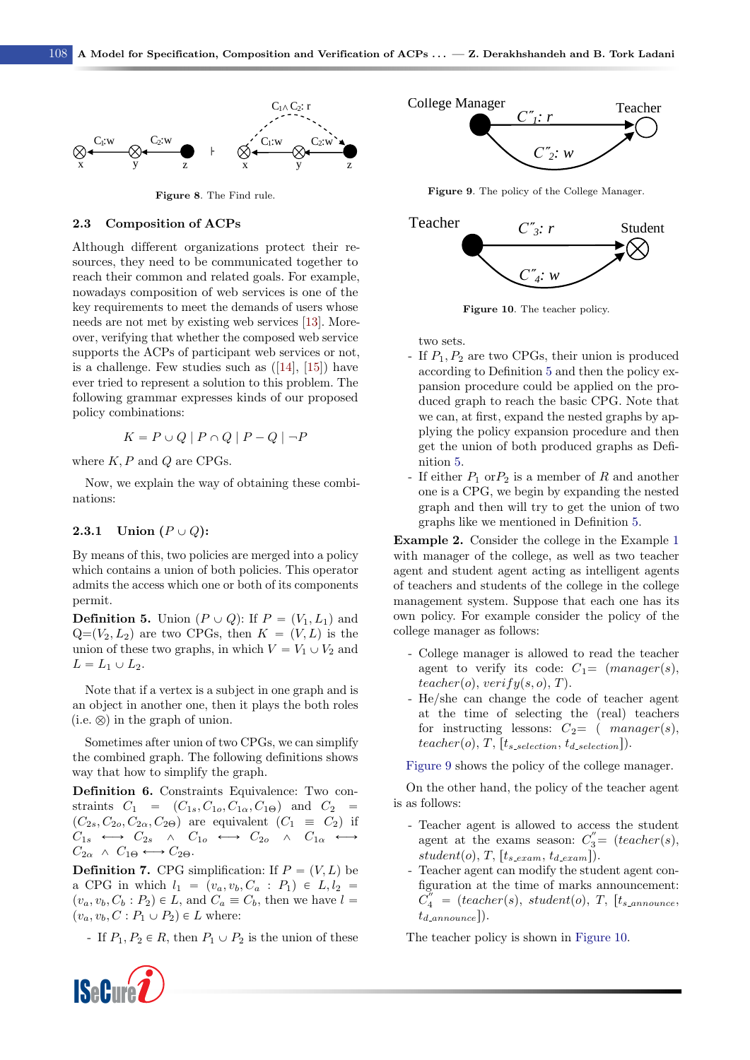<span id="page-5-0"></span>

Figure 8. The Find rule.

#### 2.3 Composition of ACPs

Although different organizations protect their resources, they need to be communicated together to reach their common and related goals. For example, nowadays composition of web services is one of the key requirements to meet the demands of users whose needs are not met by existing web services [\[13\]](#page-16-8). Moreover, verifying that whether the composed web service supports the ACPs of participant web services or not, is a challenge. Few studies such as  $([14], [15])$  $([14], [15])$  $([14], [15])$  $([14], [15])$  $([14], [15])$  have ever tried to represent a solution to this problem. The following grammar expresses kinds of our proposed policy combinations:

$$
K = P \cup Q \mid P \cap Q \mid P - Q \mid \neg P
$$

where  $K, P$  and  $Q$  are CPGs.

Now, we explain the way of obtaining these combinations:

## <span id="page-5-5"></span>2.3.1 Union  $(P \cup Q)$ :

By means of this, two policies are merged into a policy which contains a union of both policies. This operator admits the access which one or both of its components permit.

<span id="page-5-1"></span>**Definition 5.** Union  $(P \cup Q)$ : If  $P = (V_1, L_1)$  and  $Q=(V_2, L_2)$  are two CPGs, then  $K = (V, L)$  is the union of these two graphs, in which  $V = V_1 \cup V_2$  and  $L = L_1 \cup L_2.$ 

Note that if a vertex is a subject in one graph and is an object in another one, then it plays the both roles  $(i.e.  $\otimes$ ) in the graph of union.$ 

Sometimes after union of two CPGs, we can simplify the combined graph. The following definitions shows way that how to simplify the graph.

Definition 6. Constraints Equivalence: Two constraints  $C_1 = (C_{1s}, C_{1o}, C_{1\alpha}, C_{1\Theta})$  and  $C_2 =$  $(C_{2s}, C_{2o}, C_{2\alpha}, C_{2\Theta})$  are equivalent  $(C_1 \equiv C_2)$  if  $C_{1s} \leftrightarrow C_{2s} \quad \wedge \quad C_{1o} \leftrightarrow C_{2o} \quad \wedge \quad C_{1\alpha} \leftrightarrow$  $C_{2\alpha} \wedge C_{1\Theta} \longleftrightarrow C_{2\Theta}.$ 

**Definition 7.** CPG simplification: If  $P = (V, L)$  be a CPG in which  $l_1 = (v_a, v_b, C_a : P_1) \in L, l_2 =$  $(v_a, v_b, C_b : P_2) \in L$ , and  $C_a \equiv C_b$ , then we have  $l =$  $(v_a, v_b, C : P_1 \cup P_2) \in L$  where:

- If  $P_1, P_2 \in R$ , then  $P_1 \cup P_2$  is the union of these



<span id="page-5-2"></span>

Figure 9. The policy of the College Manager.

<span id="page-5-3"></span>

Figure 10. The teacher policy.

two sets.

- If  $P_1, P_2$  are two CPGs, their union is produced according to Definition [5](#page-5-1) and then the policy expansion procedure could be applied on the produced graph to reach the basic CPG. Note that we can, at first, expand the nested graphs by applying the policy expansion procedure and then get the union of both produced graphs as Definition [5.](#page-5-1)
- If either  $P_1$  or  $P_2$  is a member of R and another one is a CPG, we begin by expanding the nested graph and then will try to get the union of two graphs like we mentioned in Definition [5.](#page-5-1)

<span id="page-5-4"></span>Example 2. Consider the college in the Example [1](#page-3-3) with manager of the college, as well as two teacher agent and student agent acting as intelligent agents of teachers and students of the college in the college management system. Suppose that each one has its own policy. For example consider the policy of the college manager as follows:

- College manager is allowed to read the teacher agent to verify its code:  $C_1 = (manager(s),$  $teacher(o), verify(s, o), T).$
- He/she can change the code of teacher agent at the time of selecting the (real) teachers for instructing lessons:  $C_2 = (manager(s),$ teacher(o), T,  $[t_{s\text{-}selection}, t_{d\text{-}selection}].$

[Figure 9](#page-5-2) shows the policy of the college manager.

On the other hand, the policy of the teacher agent is as follows:

- Teacher agent is allowed to access the student agent at the exams season:  $C_3'' = (teacher(s),$  $student(o), T, [t_{s, exam}, t_{d, exam}]).$
- Teacher agent can modify the student agent configuration at the time of marks announcement:  $\overline{C}_4^{\prime\prime}$  = (teacher(s), student(o), T, [t<sub>s\_announce</sub>,  $t_{d_{\text{}}announce}$ ).

The teacher policy is shown in [Figure 10.](#page-5-3)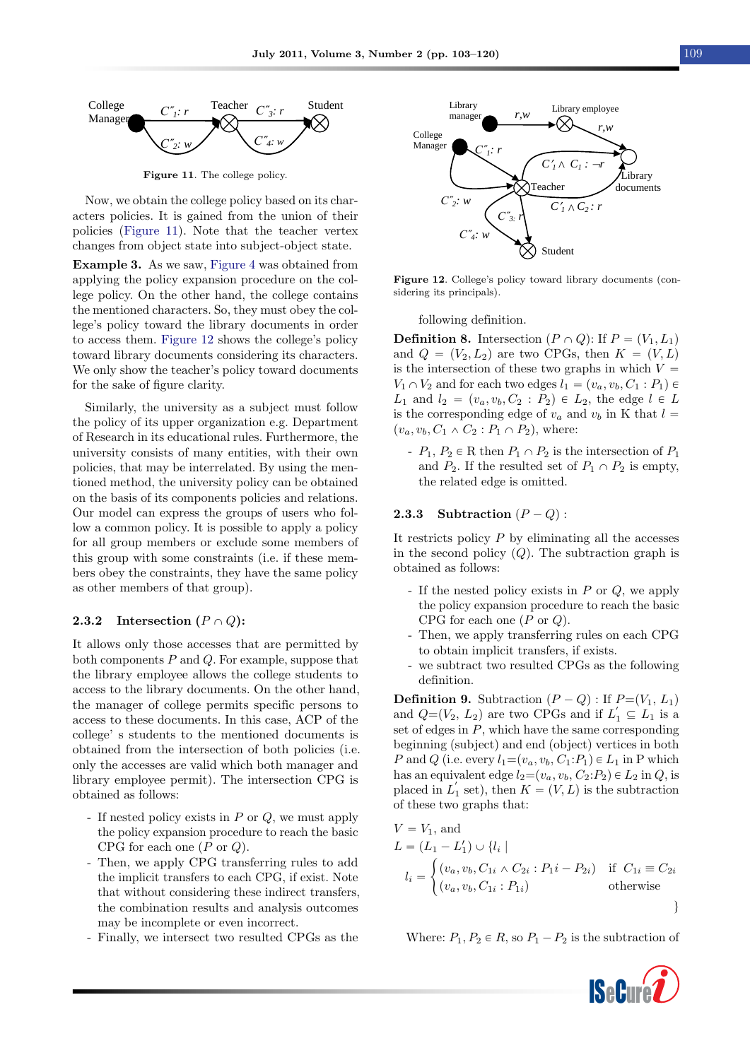<span id="page-6-1"></span>

Figure 11. The college policy.

Now, we obtain the college policy based on its characters policies. It is gained from the union of their policies [\(Figure 11\)](#page-6-1). Note that the teacher vertex changes from object state into subject-object state.

<span id="page-6-0"></span>Example 3. As we saw, [Figure 4](#page-4-1) was obtained from applying the policy expansion procedure on the college policy. On the other hand, the college contains the mentioned characters. So, they must obey the college's policy toward the library documents in order to access them. [Figure 12](#page-6-2) shows the college's policy toward library documents considering its characters. We only show the teacher's policy toward documents for the sake of figure clarity.

Similarly, the university as a subject must follow the policy of its upper organization e.g. Department of Research in its educational rules. Furthermore, the university consists of many entities, with their own policies, that may be interrelated. By using the mentioned method, the university policy can be obtained on the basis of its components policies and relations. Our model can express the groups of users who follow a common policy. It is possible to apply a policy for all group members or exclude some members of this group with some constraints (i.e. if these members obey the constraints, they have the same policy as other members of that group).

#### 2.3.2 Intersection  $(P \cap Q)$ :

It allows only those accesses that are permitted by both components  $P$  and  $Q$ . For example, suppose that the library employee allows the college students to access to the library documents. On the other hand, the manager of college permits specific persons to access to these documents. In this case, ACP of the college' s students to the mentioned documents is obtained from the intersection of both policies (i.e. only the accesses are valid which both manager and library employee permit). The intersection CPG is obtained as follows:

- If nested policy exists in  $P$  or  $Q$ , we must apply the policy expansion procedure to reach the basic CPG for each one  $(P \text{ or } Q)$ .
- Then, we apply CPG transferring rules to add the implicit transfers to each CPG, if exist. Note that without considering these indirect transfers, the combination results and analysis outcomes may be incomplete or even incorrect.
- Finally, we intersect two resulted CPGs as the

<span id="page-6-2"></span>

Figure 12. College's policy toward library documents (considering its principals).

following definition.

**Definition 8.** Intersection  $(P \cap Q)$ : If  $P = (V_1, L_1)$ and  $Q = (V_2, L_2)$  are two CPGs, then  $K = (V, L)$ is the intersection of these two graphs in which  $V =$  $V_1 \cap V_2$  and for each two edges  $l_1 = (v_a, v_b, C_1 : P_1) \in$  $L_1$  and  $l_2 = (v_a, v_b, C_2 : P_2) \in L_2$ , the edge  $l \in L$ is the corresponding edge of  $v_a$  and  $v_b$  in K that  $l =$  $(v_a, v_b, C_1 \wedge C_2 : P_1 \cap P_2)$ , where:

 $-P_1, P_2 \in \mathbb{R}$  then  $P_1 \cap P_2$  is the intersection of  $P_1$ and  $P_2$ . If the resulted set of  $P_1 \cap P_2$  is empty, the related edge is omitted.

#### **2.3.3** Subtraction  $(P - Q)$ :

It restricts policy  $P$  by eliminating all the accesses in the second policy  $(Q)$ . The subtraction graph is obtained as follows:

- If the nested policy exists in  $P$  or  $Q$ , we apply the policy expansion procedure to reach the basic CPG for each one  $(P \text{ or } Q)$ .
- Then, we apply transferring rules on each CPG to obtain implicit transfers, if exists.
- we subtract two resulted CPGs as the following definition.

**Definition 9.** Subtraction  $(P - Q)$ : If  $P=(V_1, L_1)$ and  $Q=(V_2, L_2)$  are two CPGs and if  $L'_1 \subseteq L_1$  is a set of edges in  $P$ , which have the same corresponding beginning (subject) and end (object) vertices in both P and Q (i.e. every  $l_1=(v_a, v_b, C_1:P_1) \in L_1$  in P which has an equivalent edge  $l_2=(v_a, v_b, C_2: P_2) \in L_2$  in  $Q$ , is placed in  $L_1'$  set), then  $K = (V, L)$  is the subtraction of these two graphs that:

$$
V = V_1, \text{ and}
$$
  
\n
$$
L = (L_1 - L'_1) \cup \{l_i |
$$
  
\n
$$
l_i = \begin{cases} (v_a, v_b, C_{1i} \wedge C_{2i} : P_1 i - P_{2i}) & \text{if } C_{1i} \equiv C_{2i} \\ (v_a, v_b, C_{1i} : P_{1i}) & \text{otherwise} \end{cases}
$$

Where:  $P_1, P_2 \in R$ , so  $P_1 - P_2$  is the subtraction of

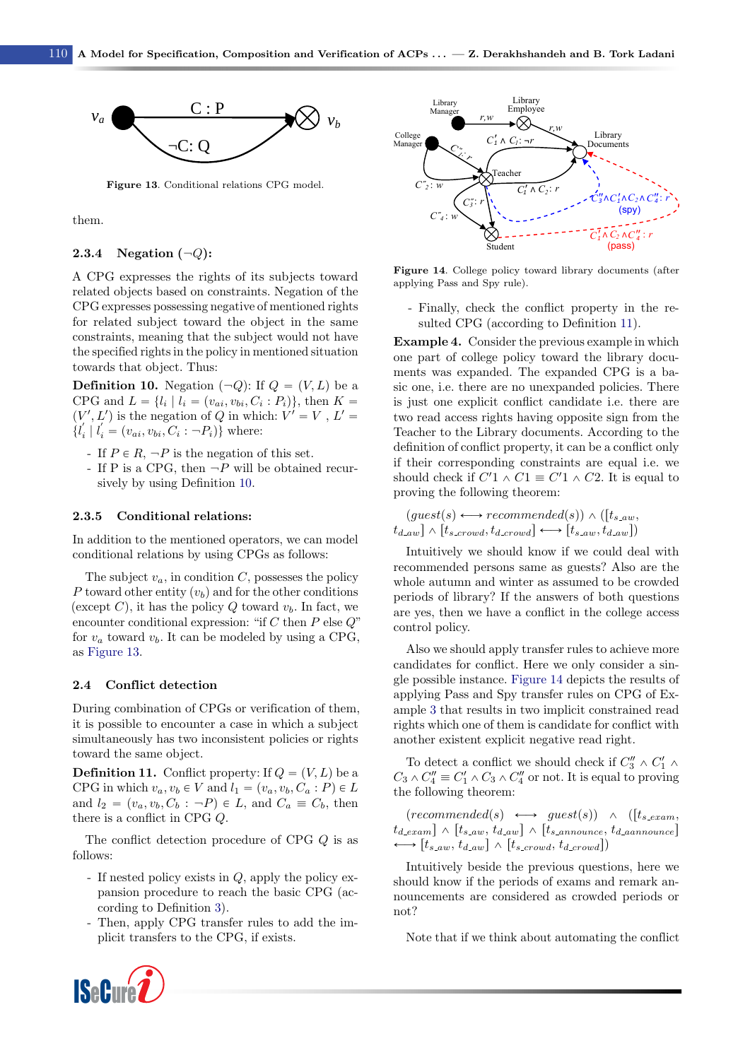<span id="page-7-1"></span>

Figure 13. Conditional relations CPG model.

them.

#### 2.3.4 Negation  $(\neg Q)$ :

A CPG expresses the rights of its subjects toward related objects based on constraints. Negation of the CPG expresses possessing negative of mentioned rights for related subject toward the object in the same constraints, meaning that the subject would not have the specified rights in the policy in mentioned situation towards that object. Thus:

<span id="page-7-0"></span>**Definition 10.** Negation  $(\neg Q)$ : If  $Q = (V, L)$  be a CPG and  $L = \{l_i \mid l_i = (v_{ai}, v_{bi}, C_i : P_i)\}\$ , then  $K =$  $(V', L')$  is the negation of Q in which:  $V' = V$ ,  $L' =$  $\{l'_i \mid l'_i = (v_{ai}, v_{bi}, C_i : -P_i)\}\$  where:

- If  $P \in R$ ,  $\neg P$  is the negation of this set.
- If P is a CPG, then  $\neg P$  will be obtained recursively by using Definition [10.](#page-7-0)

#### 2.3.5 Conditional relations:

In addition to the mentioned operators, we can model conditional relations by using CPGs as follows:

The subject  $v_a$ , in condition C, possesses the policy P toward other entity  $(v_b)$  and for the other conditions (except C), it has the policy Q toward  $v<sub>b</sub>$ . In fact, we encounter conditional expression: "if C then  $P$  else  $Q$ " for  $v_a$  toward  $v_b$ . It can be modeled by using a CPG, as [Figure 13.](#page-7-1)

#### <span id="page-7-4"></span>2.4 Conflict detection

During combination of CPGs or verification of them, it is possible to encounter a case in which a subject simultaneously has two inconsistent policies or rights toward the same object.

<span id="page-7-2"></span>**Definition 11.** Conflict property: If  $Q = (V, L)$  be a CPG in which  $v_a, v_b \in V$  and  $l_1 = (v_a, v_b, C_a : P) \in L$ and  $l_2 = (v_a, v_b, C_b : -P) \in L$ , and  $C_a \equiv C_b$ , then there is a conflict in CPG Q.

The conflict detection procedure of CPG Q is as follows:

- If nested policy exists in Q, apply the policy expansion procedure to reach the basic CPG (according to Definition [3\)](#page-3-1).
- Then, apply CPG transfer rules to add the implicit transfers to the CPG, if exists.

<span id="page-7-3"></span>

Figure 14. College policy toward library documents (after applying Pass and Spy rule).

- Finally, check the conflict property in the resulted CPG (according to Definition [11\)](#page-7-2).

Example 4. Consider the previous example in which one part of college policy toward the library documents was expanded. The expanded CPG is a basic one, i.e. there are no unexpanded policies. There is just one explicit conflict candidate i.e. there are two read access rights having opposite sign from the Teacher to the Library documents. According to the definition of conflict property, it can be a conflict only if their corresponding constraints are equal i.e. we should check if  $C'1 \wedge C1 \equiv C'1 \wedge C2$ . It is equal to proving the following theorem:

$$
(guest(s) \longleftrightarrow recommended(s)) \land ([t_{s,aw}, t_{d,aw}] \land [t_{s,crow}, t_{d,row}] \longleftrightarrow [t_{s,aw}, t_{d,aw}])
$$

Intuitively we should know if we could deal with recommended persons same as guests? Also are the whole autumn and winter as assumed to be crowded periods of library? If the answers of both questions are yes, then we have a conflict in the college access control policy.

Also we should apply transfer rules to achieve more candidates for conflict. Here we only consider a single possible instance. [Figure 14](#page-7-3) depicts the results of applying Pass and Spy transfer rules on CPG of Example [3](#page-6-0) that results in two implicit constrained read rights which one of them is candidate for conflict with another existent explicit negative read right.

To detect a conflict we should check if  $C_3'' \wedge C_1' \wedge$  $C_3 \wedge C_4'' \equiv C_1' \wedge C_3 \wedge C_4''$  or not. It is equal to proving the following theorem:

 $(recommande d(s) \longleftrightarrow guest(s)) \wedge ([t_{s.exam},$  $t_{d\text{-}exam}$   $] \wedge [t_{s\text{-}aw}, t_{d\text{-}aw}] \wedge [t_{s\text{-}announce}, t_{d\text{-}aanname}]$  $\rightarrow$   $[t_{s,aw}, t_{d,aw}] \wedge [t_{s,crow}, t_{d,crow}]$ 

Intuitively beside the previous questions, here we should know if the periods of exams and remark announcements are considered as crowded periods or not?

Note that if we think about automating the conflict

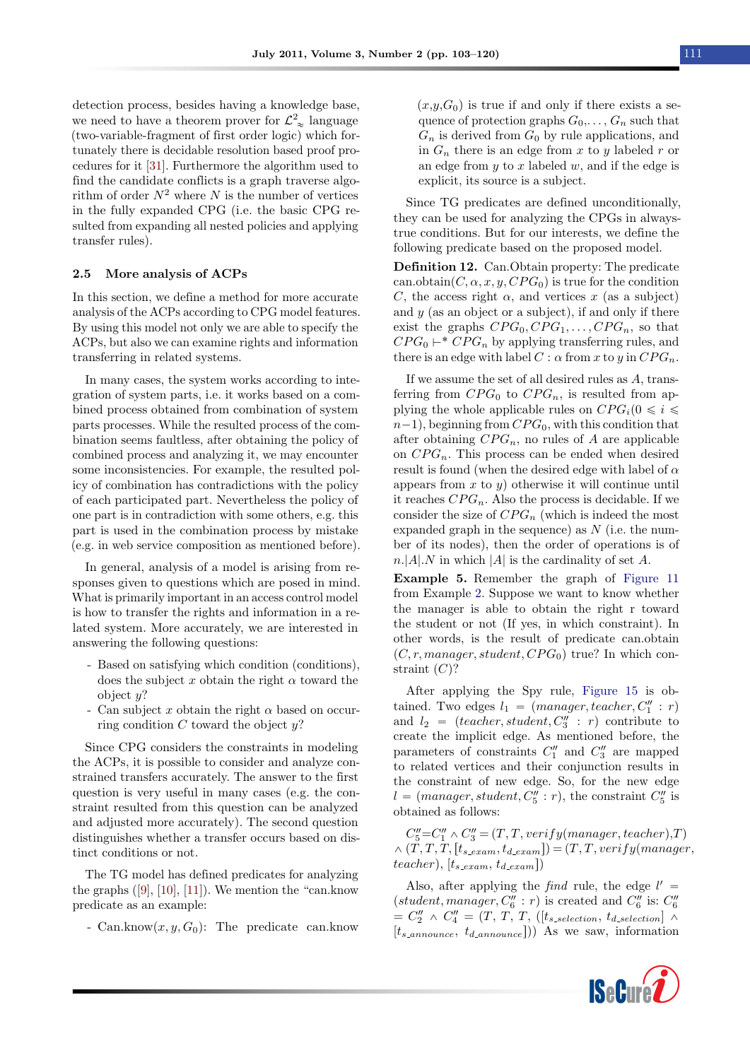detection process, besides having a knowledge base, we need to have a theorem prover for  $\mathcal{L}_{\infty}^2$  language (two-variable-fragment of first order logic) which fortunately there is decidable resolution based proof procedures for it [\[31\]](#page-17-2). Furthermore the algorithm used to find the candidate conflicts is a graph traverse algorithm of order  $N^2$  where N is the number of vertices in the fully expanded CPG (i.e. the basic CPG resulted from expanding all nested policies and applying transfer rules).

#### <span id="page-8-0"></span>2.5 More analysis of ACPs

In this section, we define a method for more accurate analysis of the ACPs according to CPG model features. By using this model not only we are able to specify the ACPs, but also we can examine rights and information transferring in related systems.

In many cases, the system works according to integration of system parts, i.e. it works based on a combined process obtained from combination of system parts processes. While the resulted process of the combination seems faultless, after obtaining the policy of combined process and analyzing it, we may encounter some inconsistencies. For example, the resulted policy of combination has contradictions with the policy of each participated part. Nevertheless the policy of one part is in contradiction with some others, e.g. this part is used in the combination process by mistake (e.g. in web service composition as mentioned before).

In general, analysis of a model is arising from responses given to questions which are posed in mind. What is primarily important in an access control model is how to transfer the rights and information in a related system. More accurately, we are interested in answering the following questions:

- Based on satisfying which condition (conditions), does the subject x obtain the right  $\alpha$  toward the object  $u$ ?
- Can subject x obtain the right  $\alpha$  based on occurring condition  $C$  toward the object  $y$ ?

Since CPG considers the constraints in modeling the ACPs, it is possible to consider and analyze constrained transfers accurately. The answer to the first question is very useful in many cases (e.g. the constraint resulted from this question can be analyzed and adjusted more accurately). The second question distinguishes whether a transfer occurs based on distinct conditions or not.

The TG model has defined predicates for analyzing the graphs  $([9], [10], [11])$  $([9], [10], [11])$  $([9], [10], [11])$  $([9], [10], [11])$  $([9], [10], [11])$  $([9], [10], [11])$  $([9], [10], [11])$ . We mention the "can.know" predicate as an example:

- Can.know $(x, y, G_0)$ : The predicate can.know

 $(x,y,G_0)$  is true if and only if there exists a sequence of protection graphs  $G_0, \ldots, G_n$  such that  $G_n$  is derived from  $G_0$  by rule applications, and in  $G_n$  there is an edge from x to y labeled r or an edge from  $y$  to  $x$  labeled  $w$ , and if the edge is explicit, its source is a subject.

Since TG predicates are defined unconditionally, they can be used for analyzing the CPGs in alwaystrue conditions. But for our interests, we define the following predicate based on the proposed model.

Definition 12. Can.Obtain property: The predicate can.obtain $(C, \alpha, x, y, CPG_0)$  is true for the condition C, the access right  $\alpha$ , and vertices x (as a subject) and  $y$  (as an object or a subject), if and only if there exist the graphs  $CPG_0, CPG_1, \ldots, CPG_n$ , so that  $CPG_0 \vdash^* CPG_n$  by applying transferring rules, and there is an edge with label  $C : \alpha$  from x to y in  $CPG_n$ .

If we assume the set of all desired rules as A, transferring from  $CPG_0$  to  $CPG_n$ , is resulted from applying the whole applicable rules on  $CPG_i(0 \leq i \leq$  $n-1$ , beginning from  $CPG_0$ , with this condition that after obtaining  $CPG_n$ , no rules of A are applicable on  $CPG_n$ . This process can be ended when desired result is found (when the desired edge with label of  $\alpha$ appears from  $x$  to  $y$ ) otherwise it will continue until it reaches  $CPG_n$ . Also the process is decidable. If we consider the size of  $CPG_n$  (which is indeed the most expanded graph in the sequence) as  $N$  (i.e. the number of its nodes), then the order of operations is of  $n.|A|N$  in which |A| is the cardinality of set A.

Example 5. Remember the graph of [Figure 11](#page-6-1) from Example [2.](#page-5-4) Suppose we want to know whether the manager is able to obtain the right r toward the student or not (If yes, in which constraint). In other words, is the result of predicate can.obtain  $(C, r, manager, student, CPG<sub>0</sub>)$  true? In which constraint  $(C)?$ 

After applying the Spy rule, [Figure 15](#page-9-1) is obtained. Two edges  $l_1 = (manager, teacher, C_1'': r)$ and  $l_2 = (teacher, student, C_3' : r)$  contribute to create the implicit edge. As mentioned before, the parameters of constraints  $C_1''$  and  $C_3''$  are mapped to related vertices and their conjunction results in the constraint of new edge. So, for the new edge  $l = (manager, student, C_5'': r)$ , the constraint  $C_5''$  is obtained as follows:

 $C_5''=C_1'' \wedge C_3''=(T,T, verify(manager, teacher),T)$  $\wedge$   $(\tilde{T}, T, \tilde{T}, [t_{s\_exam}, t_{d\_exam}]) = (T, T, verify(manager,$ teacher),  $[t_{s \text{-} exam}, t_{d \text{-} exam}])$ 

Also, after applying the *find* rule, the edge  $l' =$  $(student, manager, C''_6 : r)$  is created and  $C''_6$  is:  $C''_6$  $=C''_2 \wedge C''_4 = (T, T, T, ([t_{s \_ selection}, t_{d \_ selection}] \wedge$  $[t_{s_{\text{}}}, t_{d_{\text{}}}, t_{d_{\text{}}}, t_{d_{\text{}}}, t_{d_{\text{}}}]$ ) As we saw, information

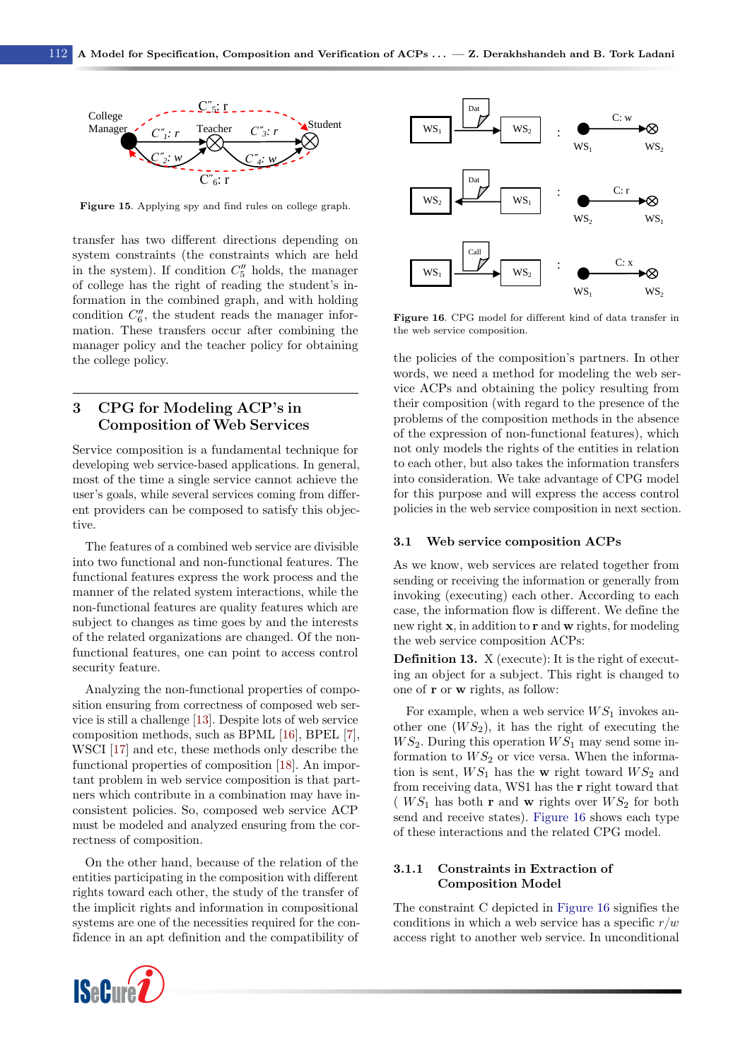<span id="page-9-1"></span>

Figure 15. Applying spy and find rules on college graph.

transfer has two different directions depending on system constraints (the constraints which are held in the system). If condition  $C_5''$  holds, the manager of college has the right of reading the student's information in the combined graph, and with holding condition  $C_6''$ , the student reads the manager information. These transfers occur after combining the manager policy and the teacher policy for obtaining the college policy.

# <span id="page-9-0"></span>3 CPG for Modeling ACP's in Composition of Web Services

Service composition is a fundamental technique for developing web service-based applications. In general, most of the time a single service cannot achieve the user's goals, while several services coming from different providers can be composed to satisfy this objective.

The features of a combined web service are divisible into two functional and non-functional features. The functional features express the work process and the manner of the related system interactions, while the non-functional features are quality features which are subject to changes as time goes by and the interests of the related organizations are changed. Of the nonfunctional features, one can point to access control security feature.

Analyzing the non-functional properties of composition ensuring from correctness of composed web service is still a challenge [\[13\]](#page-16-8). Despite lots of web service composition methods, such as BPML [\[16\]](#page-16-14), BPEL [\[7\]](#page-16-4), WSCI [\[17\]](#page-16-15) and etc, these methods only describe the functional properties of composition [\[18\]](#page-16-16). An important problem in web service composition is that partners which contribute in a combination may have inconsistent policies. So, composed web service ACP must be modeled and analyzed ensuring from the correctness of composition.

On the other hand, because of the relation of the entities participating in the composition with different rights toward each other, the study of the transfer of the implicit rights and information in compositional systems are one of the necessities required for the confidence in an apt definition and the compatibility of



<span id="page-9-2"></span>

Figure 16. CPG model for different kind of data transfer in the web service composition.

the policies of the composition's partners. In other words, we need a method for modeling the web service ACPs and obtaining the policy resulting from their composition (with regard to the presence of the problems of the composition methods in the absence of the expression of non-functional features), which not only models the rights of the entities in relation to each other, but also takes the information transfers into consideration. We take advantage of CPG model for this purpose and will express the access control policies in the web service composition in next section.

#### 3.1 Web service composition ACPs

As we know, web services are related together from sending or receiving the information or generally from invoking (executing) each other. According to each case, the information flow is different. We define the new right x, in addition to r and w rights, for modeling the web service composition ACPs:

Definition 13. X (execute): It is the right of executing an object for a subject. This right is changed to one of r or w rights, as follow:

For example, when a web service  $WS_1$  invokes another one  $(W S_2)$ , it has the right of executing the  $WS_2$ . During this operation  $WS_1$  may send some information to  $WS_2$  or vice versa. When the information is sent,  $WS_1$  has the w right toward  $WS_2$  and from receiving data, WS1 has the r right toward that ( $WS_1$  has both **r** and **w** rights over  $WS_2$  for both send and receive states). [Figure 16](#page-9-2) shows each type of these interactions and the related CPG model.

#### 3.1.1 Constraints in Extraction of Composition Model

The constraint C depicted in [Figure 16](#page-9-2) signifies the conditions in which a web service has a specific  $r/w$ access right to another web service. In unconditional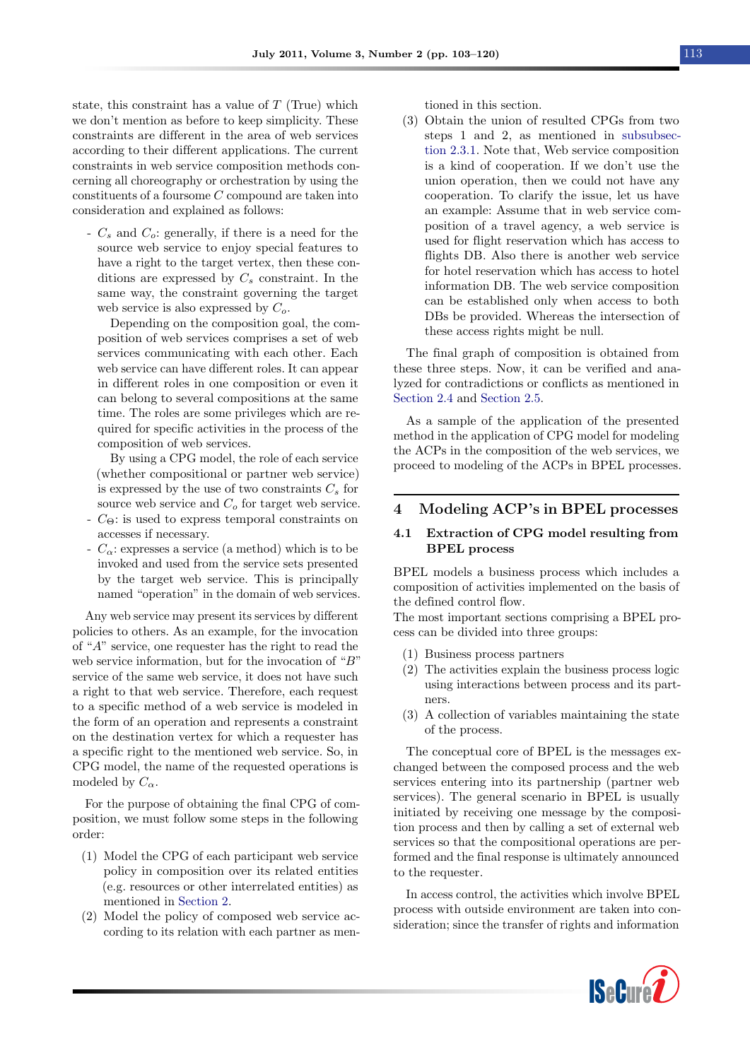state, this constraint has a value of  $T$  (True) which we don't mention as before to keep simplicity. These constraints are different in the area of web services according to their different applications. The current constraints in web service composition methods concerning all choreography or orchestration by using the constituents of a foursome C compound are taken into consideration and explained as follows:

-  $C_s$  and  $C_o$ : generally, if there is a need for the source web service to enjoy special features to have a right to the target vertex, then these conditions are expressed by  $C_s$  constraint. In the same way, the constraint governing the target web service is also expressed by  $C_o$ .

Depending on the composition goal, the composition of web services comprises a set of web services communicating with each other. Each web service can have different roles. It can appear in different roles in one composition or even it can belong to several compositions at the same time. The roles are some privileges which are required for specific activities in the process of the composition of web services.

By using a CPG model, the role of each service (whether compositional or partner web service) is expressed by the use of two constraints  $C_s$  for source web service and  $C<sub>o</sub>$  for target web service.

- $-C_{\Theta}$ : is used to express temporal constraints on accesses if necessary.
- $-C_{\alpha}$ : expresses a service (a method) which is to be invoked and used from the service sets presented by the target web service. This is principally named "operation" in the domain of web services.

Any web service may present its services by different policies to others. As an example, for the invocation of "A" service, one requester has the right to read the web service information, but for the invocation of "B" service of the same web service, it does not have such a right to that web service. Therefore, each request to a specific method of a web service is modeled in the form of an operation and represents a constraint on the destination vertex for which a requester has a specific right to the mentioned web service. So, in CPG model, the name of the requested operations is modeled by  $C_{\alpha}$ .

For the purpose of obtaining the final CPG of composition, we must follow some steps in the following order:

- (1) Model the CPG of each participant web service policy in composition over its related entities (e.g. resources or other interrelated entities) as mentioned in [Section 2.](#page-1-0)
- (2) Model the policy of composed web service according to its relation with each partner as men-

tioned in this section.

(3) Obtain the union of resulted CPGs from two steps 1 and 2, as mentioned in [subsubsec](#page-5-5)[tion 2.3.1.](#page-5-5) Note that, Web service composition is a kind of cooperation. If we don't use the union operation, then we could not have any cooperation. To clarify the issue, let us have an example: Assume that in web service composition of a travel agency, a web service is used for flight reservation which has access to flights DB. Also there is another web service for hotel reservation which has access to hotel information DB. The web service composition can be established only when access to both DBs be provided. Whereas the intersection of these access rights might be null.

The final graph of composition is obtained from these three steps. Now, it can be verified and analyzed for contradictions or conflicts as mentioned in [Section 2.4](#page-7-4) and [Section 2.5.](#page-8-0)

As a sample of the application of the presented method in the application of CPG model for modeling the ACPs in the composition of the web services, we proceed to modeling of the ACPs in BPEL processes.

## <span id="page-10-0"></span>4 Modeling ACP's in BPEL processes

#### 4.1 Extraction of CPG model resulting from BPEL process

BPEL models a business process which includes a composition of activities implemented on the basis of the defined control flow.

The most important sections comprising a BPEL process can be divided into three groups:

- (1) Business process partners
- (2) The activities explain the business process logic using interactions between process and its partners.
- (3) A collection of variables maintaining the state of the process.

The conceptual core of BPEL is the messages exchanged between the composed process and the web services entering into its partnership (partner web services). The general scenario in BPEL is usually initiated by receiving one message by the composition process and then by calling a set of external web services so that the compositional operations are performed and the final response is ultimately announced to the requester.

In access control, the activities which involve BPEL process with outside environment are taken into consideration; since the transfer of rights and information

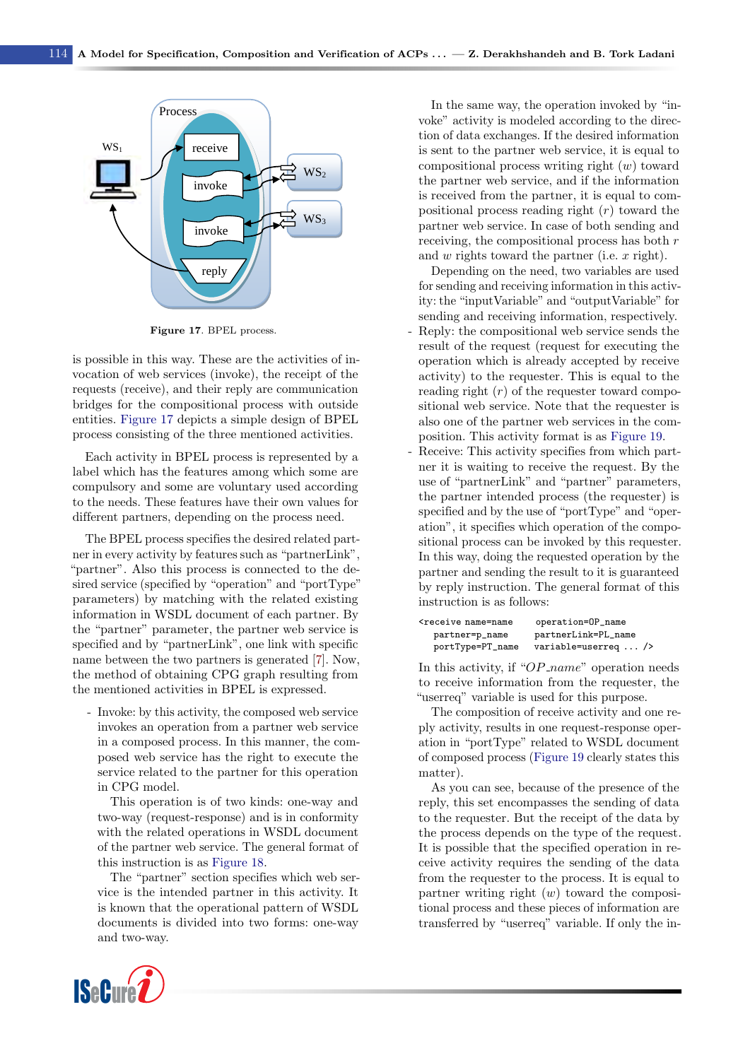<span id="page-11-0"></span>

Figure 17. BPEL process.

is possible in this way. These are the activities of invocation of web services (invoke), the receipt of the requests (receive), and their reply are communication bridges for the compositional process with outside entities. [Figure 17](#page-11-0) depicts a simple design of BPEL process consisting of the three mentioned activities.

Each activity in BPEL process is represented by a label which has the features among which some are compulsory and some are voluntary used according to the needs. These features have their own values for different partners, depending on the process need.

The BPEL process specifies the desired related partner in every activity by features such as "partnerLink", "partner". Also this process is connected to the desired service (specified by "operation" and "portType" parameters) by matching with the related existing information in WSDL document of each partner. By the "partner" parameter, the partner web service is specified and by "partnerLink", one link with specific name between the two partners is generated [\[7\]](#page-16-4). Now, the method of obtaining CPG graph resulting from the mentioned activities in BPEL is expressed.

- Invoke: by this activity, the composed web service invokes an operation from a partner web service in a composed process. In this manner, the composed web service has the right to execute the service related to the partner for this operation in CPG model.

This operation is of two kinds: one-way and two-way (request-response) and is in conformity with the related operations in WSDL document of the partner web service. The general format of this instruction is as [Figure 18.](#page-12-0)

The "partner" section specifies which web service is the intended partner in this activity. It is known that the operational pattern of WSDL documents is divided into two forms: one-way and two-way.

In the same way, the operation invoked by "invoke" activity is modeled according to the direction of data exchanges. If the desired information is sent to the partner web service, it is equal to compositional process writing right (w) toward the partner web service, and if the information is received from the partner, it is equal to compositional process reading right (r) toward the partner web service. In case of both sending and receiving, the compositional process has both  $r$ and  $w$  rights toward the partner (i.e.  $x$  right).

Depending on the need, two variables are used for sending and receiving information in this activity: the "inputVariable" and "outputVariable" for sending and receiving information, respectively. Reply: the compositional web service sends the result of the request (request for executing the operation which is already accepted by receive activity) to the requester. This is equal to the reading right  $(r)$  of the requester toward compositional web service. Note that the requester is also one of the partner web services in the composition. This activity format is as [Figure 19.](#page-12-1)

Receive: This activity specifies from which partner it is waiting to receive the request. By the use of "partnerLink" and "partner" parameters, the partner intended process (the requester) is specified and by the use of "portType" and "operation", it specifies which operation of the compositional process can be invoked by this requester. In this way, doing the requested operation by the partner and sending the result to it is guaranteed by reply instruction. The general format of this instruction is as follows:

| <receive name="name&lt;/th"><th>operation=OP_name</th></receive> | operation=OP_name    |
|------------------------------------------------------------------|----------------------|
| partner=p_name                                                   | partnerLink=PL_name  |
| portType=PT_name                                                 | variable=userreq $/$ |

In this activity, if " $OP_name$ " operation needs to receive information from the requester, the "userreq" variable is used for this purpose.

The composition of receive activity and one reply activity, results in one request-response operation in "portType" related to WSDL document of composed process [\(Figure 19](#page-12-1) clearly states this matter).

As you can see, because of the presence of the reply, this set encompasses the sending of data to the requester. But the receipt of the data by the process depends on the type of the request. It is possible that the specified operation in receive activity requires the sending of the data from the requester to the process. It is equal to partner writing right  $(w)$  toward the compositional process and these pieces of information are transferred by "userreq" variable. If only the in-

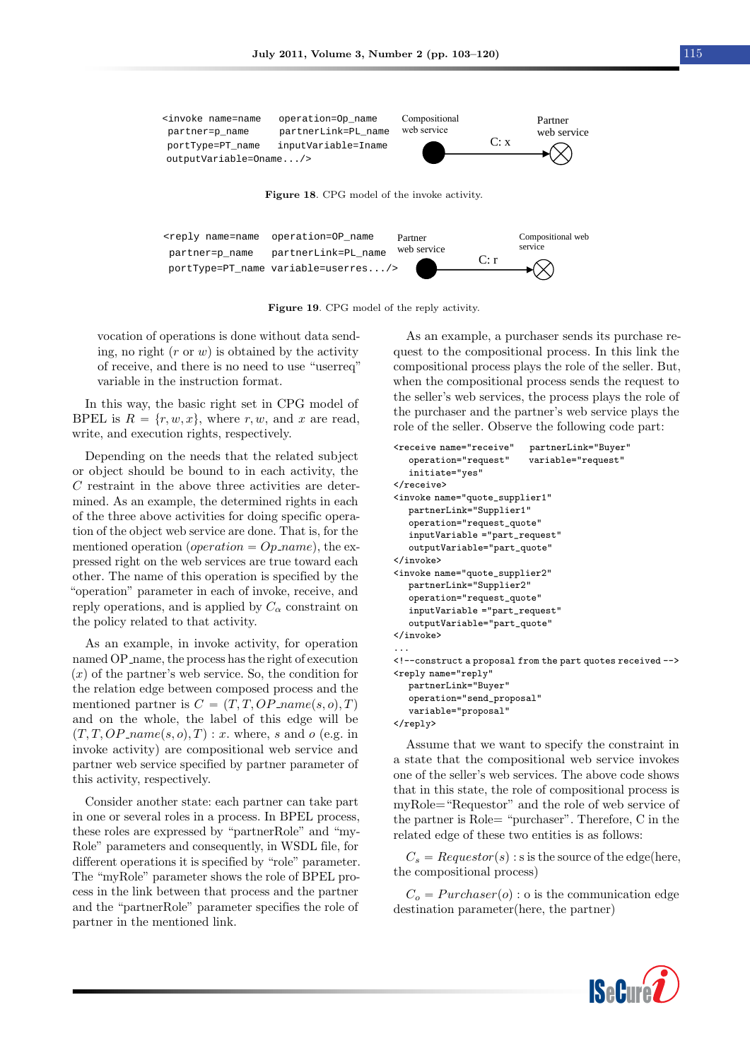<span id="page-12-1"></span><span id="page-12-0"></span>

Figure 19. CPG model of the reply activity.

vocation of operations is done without data sending, no right  $(r \text{ or } w)$  is obtained by the activity of receive, and there is no need to use "userreq" variable in the instruction format.

In this way, the basic right set in CPG model of BPEL is  $R = \{r, w, x\}$ , where r, w, and x are read, write, and execution rights, respectively.

Depending on the needs that the related subject or object should be bound to in each activity, the C restraint in the above three activities are determined. As an example, the determined rights in each of the three above activities for doing specific operation of the object web service are done. That is, for the mentioned operation (*operation =*  $Op_name$ *)*, the expressed right on the web services are true toward each other. The name of this operation is specified by the "operation" parameter in each of invoke, receive, and reply operations, and is applied by  $C_{\alpha}$  constraint on the policy related to that activity.

As an example, in invoke activity, for operation named OP name, the process has the right of execution  $(x)$  of the partner's web service. So, the condition for the relation edge between composed process and the mentioned partner is  $C = (T, T, OP\_name(s, o), T)$ and on the whole, the label of this edge will be  $(T, T, OP\_name(s, o), T) : x$ . where, s and o (e.g. in invoke activity) are compositional web service and partner web service specified by partner parameter of this activity, respectively.

Consider another state: each partner can take part in one or several roles in a process. In BPEL process, these roles are expressed by "partnerRole" and "my-Role" parameters and consequently, in WSDL file, for different operations it is specified by "role" parameter. The "myRole" parameter shows the role of BPEL process in the link between that process and the partner and the "partnerRole" parameter specifies the role of partner in the mentioned link.

As an example, a purchaser sends its purchase request to the compositional process. In this link the compositional process plays the role of the seller. But, when the compositional process sends the request to the seller's web services, the process plays the role of the purchaser and the partner's web service plays the role of the seller. Observe the following code part:

```
<receive name="receive" partnerLink="Buyer"
  operation="request" variable="request"
   initiate="yes"
</receive>
<invoke name="quote_supplier1"
  partnerLink="Supplier1"
   operation="request_quote"
  inputVariable ="part_request"
  outputVariable="part_quote"
</invoke>
<invoke name="quote_supplier2"
  partnerLink="Supplier2"
  operation="request_quote"
  inputVariable ="part_request"
  outputVariable="part_quote"
</invoke>
...
<!--construct a proposal from the part quotes received -->
<reply name="reply"
  partnerLink="Buyer"
  operation="send_proposal"
  variable="proposal"
\langle/reply>
```
Assume that we want to specify the constraint in a state that the compositional web service invokes one of the seller's web services. The above code shows that in this state, the role of compositional process is myRole="Requestor" and the role of web service of the partner is Role= "purchaser". Therefore, C in the related edge of these two entities is as follows:

 $C_s = Requestor(s)$ : s is the source of the edge(here, the compositional process)

 $C<sub>o</sub> = Purchaser(o)$ : o is the communication edge destination parameter(here, the partner)

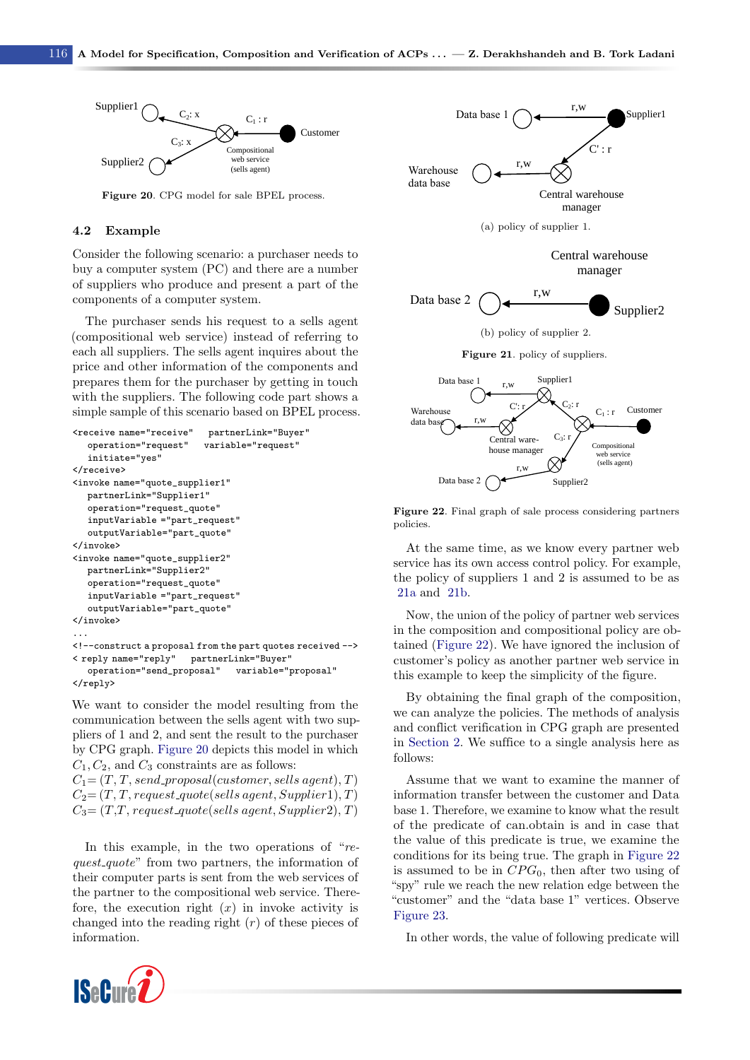

<span id="page-13-1"></span>Figure 20. CPG model for sale BPEL process.

#### 4.2 Example

Consider the following scenario: a purchaser needs to buy a computer system (PC) and there are a number of suppliers who produce and present a part of the components of a computer system.

The purchaser sends his request to a sells agent (compositional web service) instead of referring to each all suppliers. The sells agent inquires about the price and other information of the components and prepares them for the purchaser by getting in touch with the suppliers. The following code part shows a simple sample of this scenario based on BPEL process.

```
<receive name="receive" partnerLink="Buyer"
  operation="request" variable="request"
  initiate="yes"
</receive>
<invoke name="quote_supplier1"
  partnerLink="Supplier1"
  operation="request_quote"
  inputVariable ="part_request"
  outputVariable="part_quote"
</invoke>
<invoke name="quote_supplier2"
  partnerLink="Supplier2"
  operation="request_quote"
  inputVariable ="part_request"
  outputVariable="part_quote"
</invoke>
...
<!--construct a proposal from the part quotes received -->
< reply name="reply" partnerLink="Buyer"
  operation="send_proposal" variable="proposal"
</reply>
```
We want to consider the model resulting from the communication between the sells agent with two suppliers of 1 and 2, and sent the result to the purchaser by CPG graph. [Figure 20](#page-13-0) depicts this model in which  $C_1, C_2$ , and  $C_3$  constraints are as follows:

 $C_1 = (T, T, send\_proposal(customer, sells agent), T)$  $C_2 = (T, T, request\text{-}quote(sells\text{-}agent, Supplement), T)$  $C_3 = (T,T, request\text{-}quote(sells\text{-}agent, Supplier2), T)$ 

In this example, in the two operations of "request\_quote" from two partners, the information of their computer parts is sent from the web services of the partner to the compositional web service. Therefore, the execution right  $(x)$  in invoke activity is changed into the reading right  $(r)$  of these pieces of

<span id="page-13-0"></span>

<span id="page-13-3"></span><span id="page-13-2"></span>Figure 22. Final graph of sale process considering partners policies.

At the same time, as we know every partner web service has its own access control policy. For example, the policy of suppliers 1 and 2 is assumed to be as [21a](#page-13-1) and [21b.](#page-13-2)

Now, the union of the policy of partner web services in the composition and compositional policy are obtained [\(Figure 22\)](#page-13-3). We have ignored the inclusion of customer's policy as another partner web service in this example to keep the simplicity of the figure.

By obtaining the final graph of the composition, we can analyze the policies. The methods of analysis and conflict verification in CPG graph are presented in [Section 2.](#page-1-0) We suffice to a single analysis here as follows:

Assume that we want to examine the manner of information transfer between the customer and Data base 1. Therefore, we examine to know what the result of the predicate of can.obtain is and in case that the value of this predicate is true, we examine the conditions for its being true. The graph in [Figure 22](#page-13-3) is assumed to be in  $CPG_0$ , then after two using of "spy" rule we reach the new relation edge between the "customer" and the "data base 1" vertices. Observe [Figure 23.](#page-14-1)

In other words, the value of following predicate will

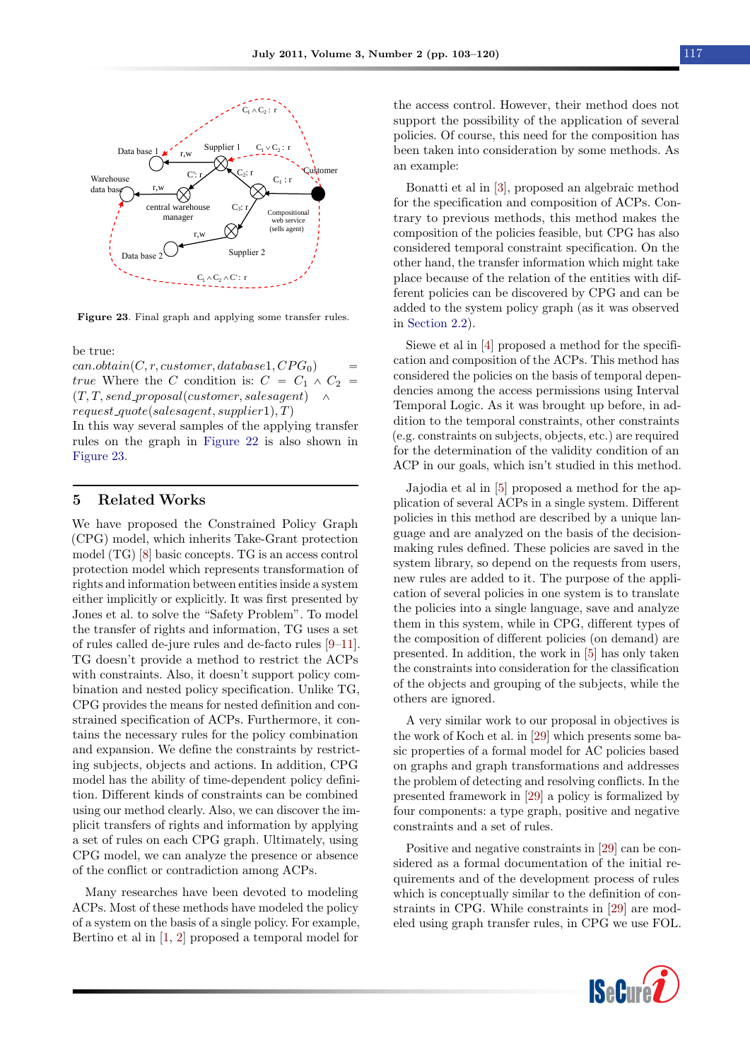<span id="page-14-1"></span>

Figure 23. Final graph and applying some transfer rules.

be true:

 $can. obtain (C, r, customer, database1, CPG<sub>0</sub>)$ true Where the C condition is:  $C = C_1 \wedge C_2 =$  $(T, T, send\_proposal(customer, salesagent)$   $\wedge$  $request\text{-}quote(salesagent, supplier1), T)$ 

In this way several samples of the applying transfer rules on the graph in [Figure 22](#page-13-3) is also shown in [Figure 23.](#page-14-1)

#### <span id="page-14-0"></span>5 Related Works

We have proposed the Constrained Policy Graph (CPG) model, which inherits Take-Grant protection model (TG) [\[8\]](#page-16-7) basic concepts. TG is an access control protection model which represents transformation of rights and information between entities inside a system either implicitly or explicitly. It was first presented by Jones et al. to solve the "Safety Problem". To model the transfer of rights and information, TG uses a set of rules called de-jure rules and de-facto rules [\[9–](#page-16-11)[11\]](#page-16-13). TG doesn't provide a method to restrict the ACPs with constraints. Also, it doesn't support policy combination and nested policy specification. Unlike TG, CPG provides the means for nested definition and constrained specification of ACPs. Furthermore, it contains the necessary rules for the policy combination and expansion. We define the constraints by restricting subjects, objects and actions. In addition, CPG model has the ability of time-dependent policy definition. Different kinds of constraints can be combined using our method clearly. Also, we can discover the implicit transfers of rights and information by applying a set of rules on each CPG graph. Ultimately, using CPG model, we can analyze the presence or absence of the conflict or contradiction among ACPs.

Many researches have been devoted to modeling ACPs. Most of these methods have modeled the policy of a system on the basis of a single policy. For example, Bertino et al in [\[1,](#page-16-0) [2\]](#page-16-1) proposed a temporal model for

the access control. However, their method does not support the possibility of the application of several policies. Of course, this need for the composition has been taken into consideration by some methods. As an example:

Bonatti et al in [\[3\]](#page-16-2), proposed an algebraic method for the specification and composition of ACPs. Contrary to previous methods, this method makes the composition of the policies feasible, but CPG has also considered temporal constraint specification. On the other hand, the transfer information which might take place because of the relation of the entities with different policies can be discovered by CPG and can be added to the system policy graph (as it was observed in [Section 2.2\)](#page-4-5).

Siewe et al in [\[4\]](#page-16-17) proposed a method for the specification and composition of the ACPs. This method has considered the policies on the basis of temporal dependencies among the access permissions using Interval Temporal Logic. As it was brought up before, in addition to the temporal constraints, other constraints (e.g. constraints on subjects, objects, etc.) are required for the determination of the validity condition of an ACP in our goals, which isn't studied in this method.

Jajodia et al in [\[5\]](#page-16-18) proposed a method for the application of several ACPs in a single system. Different policies in this method are described by a unique language and are analyzed on the basis of the decisionmaking rules defined. These policies are saved in the system library, so depend on the requests from users, new rules are added to it. The purpose of the application of several policies in one system is to translate the policies into a single language, save and analyze them in this system, while in CPG, different types of the composition of different policies (on demand) are presented. In addition, the work in [\[5\]](#page-16-18) has only taken the constraints into consideration for the classification of the objects and grouping of the subjects, while the others are ignored.

A very similar work to our proposal in objectives is the work of Koch et al. in [\[29\]](#page-17-3) which presents some basic properties of a formal model for AC policies based on graphs and graph transformations and addresses the problem of detecting and resolving conflicts. In the presented framework in [\[29\]](#page-17-3) a policy is formalized by four components: a type graph, positive and negative constraints and a set of rules.

Positive and negative constraints in [\[29\]](#page-17-3) can be considered as a formal documentation of the initial requirements and of the development process of rules which is conceptually similar to the definition of constraints in CPG. While constraints in [\[29\]](#page-17-3) are modeled using graph transfer rules, in CPG we use FOL.

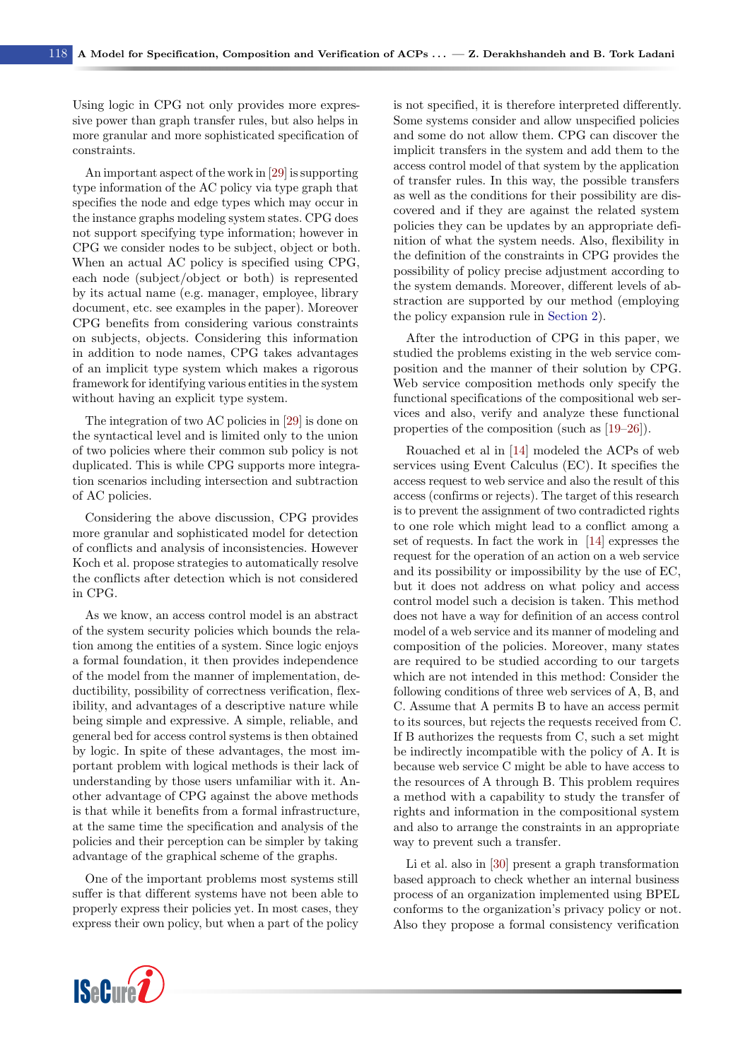Using logic in CPG not only provides more expressive power than graph transfer rules, but also helps in more granular and more sophisticated specification of constraints.

An important aspect of the work in [\[29\]](#page-17-3) is supporting type information of the AC policy via type graph that specifies the node and edge types which may occur in the instance graphs modeling system states. CPG does not support specifying type information; however in CPG we consider nodes to be subject, object or both. When an actual AC policy is specified using CPG, each node (subject/object or both) is represented by its actual name (e.g. manager, employee, library document, etc. see examples in the paper). Moreover CPG benefits from considering various constraints on subjects, objects. Considering this information in addition to node names, CPG takes advantages of an implicit type system which makes a rigorous framework for identifying various entities in the system without having an explicit type system.

The integration of two AC policies in [\[29\]](#page-17-3) is done on the syntactical level and is limited only to the union of two policies where their common sub policy is not duplicated. This is while CPG supports more integration scenarios including intersection and subtraction of AC policies.

Considering the above discussion, CPG provides more granular and sophisticated model for detection of conflicts and analysis of inconsistencies. However Koch et al. propose strategies to automatically resolve the conflicts after detection which is not considered in CPG.

As we know, an access control model is an abstract of the system security policies which bounds the relation among the entities of a system. Since logic enjoys a formal foundation, it then provides independence of the model from the manner of implementation, deductibility, possibility of correctness verification, flexibility, and advantages of a descriptive nature while being simple and expressive. A simple, reliable, and general bed for access control systems is then obtained by logic. In spite of these advantages, the most important problem with logical methods is their lack of understanding by those users unfamiliar with it. Another advantage of CPG against the above methods is that while it benefits from a formal infrastructure, at the same time the specification and analysis of the policies and their perception can be simpler by taking advantage of the graphical scheme of the graphs.

One of the important problems most systems still suffer is that different systems have not been able to properly express their policies yet. In most cases, they express their own policy, but when a part of the policy



After the introduction of CPG in this paper, we studied the problems existing in the web service composition and the manner of their solution by CPG. Web service composition methods only specify the functional specifications of the compositional web services and also, verify and analyze these functional properties of the composition (such as [\[19–](#page-16-19)[26\]](#page-17-4)).

Rouached et al in [\[14\]](#page-16-9) modeled the ACPs of web services using Event Calculus (EC). It specifies the access request to web service and also the result of this access (confirms or rejects). The target of this research is to prevent the assignment of two contradicted rights to one role which might lead to a conflict among a set of requests. In fact the work in [\[14\]](#page-16-9) expresses the request for the operation of an action on a web service and its possibility or impossibility by the use of EC, but it does not address on what policy and access control model such a decision is taken. This method does not have a way for definition of an access control model of a web service and its manner of modeling and composition of the policies. Moreover, many states are required to be studied according to our targets which are not intended in this method: Consider the following conditions of three web services of A, B, and C. Assume that A permits B to have an access permit to its sources, but rejects the requests received from C. If B authorizes the requests from C, such a set might be indirectly incompatible with the policy of A. It is because web service C might be able to have access to the resources of A through B. This problem requires a method with a capability to study the transfer of rights and information in the compositional system and also to arrange the constraints in an appropriate way to prevent such a transfer.

Li et al. also in [\[30\]](#page-17-5) present a graph transformation based approach to check whether an internal business process of an organization implemented using BPEL conforms to the organization's privacy policy or not. Also they propose a formal consistency verification

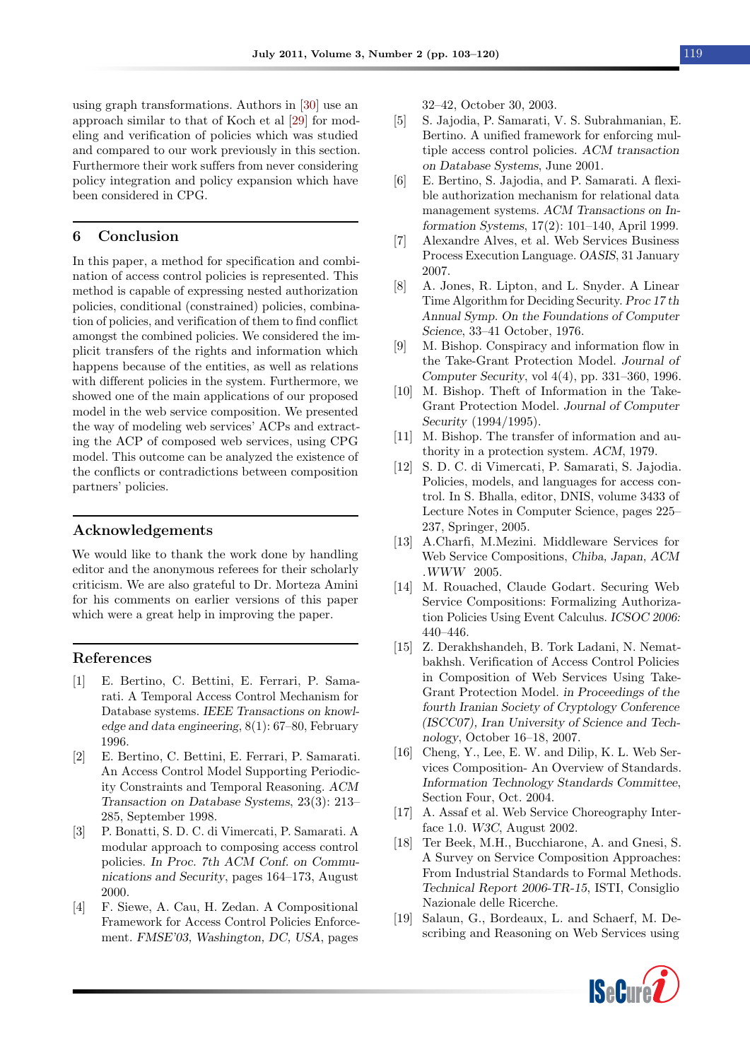using graph transformations. Authors in [\[30\]](#page-17-5) use an approach similar to that of Koch et al [\[29\]](#page-17-3) for modeling and verification of policies which was studied and compared to our work previously in this section. Furthermore their work suffers from never considering policy integration and policy expansion which have been considered in CPG.

#### <span id="page-16-5"></span>6 Conclusion

In this paper, a method for specification and combination of access control policies is represented. This method is capable of expressing nested authorization policies, conditional (constrained) policies, combination of policies, and verification of them to find conflict amongst the combined policies. We considered the implicit transfers of the rights and information which happens because of the entities, as well as relations with different policies in the system. Furthermore, we showed one of the main applications of our proposed model in the web service composition. We presented the way of modeling web services' ACPs and extracting the ACP of composed web services, using CPG model. This outcome can be analyzed the existence of the conflicts or contradictions between composition partners' policies.

#### Acknowledgements

We would like to thank the work done by handling editor and the anonymous referees for their scholarly criticism. We are also grateful to Dr. Morteza Amini for his comments on earlier versions of this paper which were a great help in improving the paper.

#### References

- <span id="page-16-0"></span>[1] E. Bertino, C. Bettini, E. Ferrari, P. Samarati. A Temporal Access Control Mechanism for Database systems. IEEE Transactions on knowledge and data engineering, 8(1): 67–80, February 1996.
- <span id="page-16-1"></span>[2] E. Bertino, C. Bettini, E. Ferrari, P. Samarati. An Access Control Model Supporting Periodicity Constraints and Temporal Reasoning. ACM Transaction on Database Systems, 23(3): 213– 285, September 1998.
- <span id="page-16-2"></span>[3] P. Bonatti, S. D. C. di Vimercati, P. Samarati. A modular approach to composing access control policies. In Proc. 7th ACM Conf. on Communications and Security, pages 164–173, August 2000.
- <span id="page-16-17"></span>[4] F. Siewe, A. Cau, H. Zedan. A Compositional Framework for Access Control Policies Enforcement. FMSE'03, Washington, DC, USA, pages

32–42, October 30, 2003.

- <span id="page-16-18"></span>[5] S. Jajodia, P. Samarati, V. S. Subrahmanian, E. Bertino. A unified framework for enforcing multiple access control policies. ACM transaction on Database Systems, June 2001.
- <span id="page-16-3"></span>[6] E. Bertino, S. Jajodia, and P. Samarati. A flexible authorization mechanism for relational data management systems. ACM Transactions on Information Systems, 17(2): 101–140, April 1999.
- <span id="page-16-4"></span>[7] Alexandre Alves, et al. Web Services Business Process Execution Language. OASIS, 31 January 2007.
- <span id="page-16-7"></span>[8] A. Jones, R. Lipton, and L. Snyder. A Linear Time Algorithm for Deciding Security. Proc 17 th Annual Symp. On the Foundations of Computer Science, 33–41 October, 1976.
- <span id="page-16-11"></span>[9] M. Bishop. Conspiracy and information flow in the Take-Grant Protection Model. Journal of Computer Security, vol 4(4), pp. 331–360, 1996.
- <span id="page-16-12"></span>[10] M. Bishop. Theft of Information in the Take-Grant Protection Model. Journal of Computer Security (1994/1995).
- <span id="page-16-13"></span>[11] M. Bishop. The transfer of information and authority in a protection system. ACM, 1979.
- <span id="page-16-6"></span>[12] S. D. C. di Vimercati, P. Samarati, S. Jajodia. Policies, models, and languages for access control. In S. Bhalla, editor, DNIS, volume 3433 of Lecture Notes in Computer Science, pages 225– 237, Springer, 2005.
- <span id="page-16-8"></span>[13] A.Charfi, M.Mezini. Middleware Services for Web Service Compositions, Chiba, Japan, ACM .WWW 2005.
- <span id="page-16-9"></span>[14] M. Rouached, Claude Godart. Securing Web Service Compositions: Formalizing Authorization Policies Using Event Calculus. ICSOC 2006: 440–446.
- <span id="page-16-10"></span>[15] Z. Derakhshandeh, B. Tork Ladani, N. Nematbakhsh. Verification of Access Control Policies in Composition of Web Services Using Take-Grant Protection Model. in Proceedings of the fourth Iranian Society of Cryptology Conference (ISCC07), Iran University of Science and Technology, October 16–18, 2007.
- <span id="page-16-14"></span>[16] Cheng, Y., Lee, E. W. and Dilip, K. L. Web Services Composition- An Overview of Standards. Information Technology Standards Committee, Section Four, Oct. 2004.
- <span id="page-16-15"></span>[17] A. Assaf et al. Web Service Choreography Interface 1.0. W3C, August 2002.
- <span id="page-16-16"></span>[18] Ter Beek, M.H., Bucchiarone, A. and Gnesi, S. A Survey on Service Composition Approaches: From Industrial Standards to Formal Methods. Technical Report 2006-TR-15, ISTI, Consiglio Nazionale delle Ricerche.
- <span id="page-16-19"></span>[19] Salaun, G., Bordeaux, L. and Schaerf, M. Describing and Reasoning on Web Services using